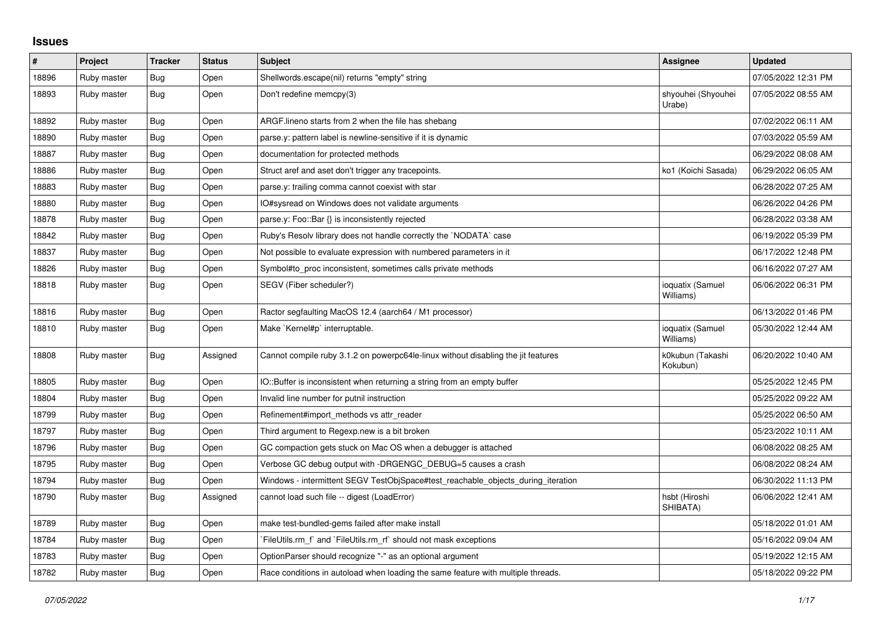## **Issues**

| #     | Project     | <b>Tracker</b> | <b>Status</b> | <b>Subject</b>                                                                    | <b>Assignee</b>               | <b>Updated</b>      |
|-------|-------------|----------------|---------------|-----------------------------------------------------------------------------------|-------------------------------|---------------------|
| 18896 | Ruby master | Bug            | Open          | Shellwords.escape(nil) returns "empty" string                                     |                               | 07/05/2022 12:31 PM |
| 18893 | Ruby master | <b>Bug</b>     | Open          | Don't redefine memcpy(3)                                                          | shyouhei (Shyouhei<br>Urabe)  | 07/05/2022 08:55 AM |
| 18892 | Ruby master | Bug            | Open          | ARGF lineno starts from 2 when the file has shebang                               |                               | 07/02/2022 06:11 AM |
| 18890 | Ruby master | Bug            | Open          | parse.y: pattern label is newline-sensitive if it is dynamic                      |                               | 07/03/2022 05:59 AM |
| 18887 | Ruby master | <b>Bug</b>     | Open          | documentation for protected methods                                               |                               | 06/29/2022 08:08 AM |
| 18886 | Ruby master | Bug            | Open          | Struct aref and aset don't trigger any tracepoints.                               | ko1 (Koichi Sasada)           | 06/29/2022 06:05 AM |
| 18883 | Ruby master | Bug            | Open          | parse.y: trailing comma cannot coexist with star                                  |                               | 06/28/2022 07:25 AM |
| 18880 | Ruby master | <b>Bug</b>     | Open          | IO#sysread on Windows does not validate arguments                                 |                               | 06/26/2022 04:26 PM |
| 18878 | Ruby master | Bug            | Open          | parse.y: Foo::Bar {} is inconsistently rejected                                   |                               | 06/28/2022 03:38 AM |
| 18842 | Ruby master | Bug            | Open          | Ruby's Resolv library does not handle correctly the `NODATA` case                 |                               | 06/19/2022 05:39 PM |
| 18837 | Ruby master | <b>Bug</b>     | Open          | Not possible to evaluate expression with numbered parameters in it                |                               | 06/17/2022 12:48 PM |
| 18826 | Ruby master | Bug            | Open          | Symbol#to_proc inconsistent, sometimes calls private methods                      |                               | 06/16/2022 07:27 AM |
| 18818 | Ruby master | Bug            | Open          | SEGV (Fiber scheduler?)                                                           | ioquatix (Samuel<br>Williams) | 06/06/2022 06:31 PM |
| 18816 | Ruby master | <b>Bug</b>     | Open          | Ractor segfaulting MacOS 12.4 (aarch64 / M1 processor)                            |                               | 06/13/2022 01:46 PM |
| 18810 | Ruby master | Bug            | Open          | Make `Kernel#p` interruptable.                                                    | ioquatix (Samuel<br>Williams) | 05/30/2022 12:44 AM |
| 18808 | Ruby master | <b>Bug</b>     | Assigned      | Cannot compile ruby 3.1.2 on powerpc64le-linux without disabling the jit features | k0kubun (Takashi<br>Kokubun)  | 06/20/2022 10:40 AM |
| 18805 | Ruby master | <b>Bug</b>     | Open          | IO::Buffer is inconsistent when returning a string from an empty buffer           |                               | 05/25/2022 12:45 PM |
| 18804 | Ruby master | <b>Bug</b>     | Open          | Invalid line number for putnil instruction                                        |                               | 05/25/2022 09:22 AM |
| 18799 | Ruby master | Bug            | Open          | Refinement#import methods vs attr reader                                          |                               | 05/25/2022 06:50 AM |
| 18797 | Ruby master | <b>Bug</b>     | Open          | Third argument to Regexp.new is a bit broken                                      |                               | 05/23/2022 10:11 AM |
| 18796 | Ruby master | <b>Bug</b>     | Open          | GC compaction gets stuck on Mac OS when a debugger is attached                    |                               | 06/08/2022 08:25 AM |
| 18795 | Ruby master | Bug            | Open          | Verbose GC debug output with -DRGENGC_DEBUG=5 causes a crash                      |                               | 06/08/2022 08:24 AM |
| 18794 | Ruby master | <b>Bug</b>     | Open          | Windows - intermittent SEGV TestObjSpace#test reachable objects during iteration  |                               | 06/30/2022 11:13 PM |
| 18790 | Ruby master | Bug            | Assigned      | cannot load such file -- digest (LoadError)                                       | hsbt (Hiroshi<br>SHIBATA)     | 06/06/2022 12:41 AM |
| 18789 | Ruby master | Bug            | Open          | make test-bundled-gems failed after make install                                  |                               | 05/18/2022 01:01 AM |
| 18784 | Ruby master | Bug            | Open          | FileUtils.rm f and `FileUtils.rm rf should not mask exceptions                    |                               | 05/16/2022 09:04 AM |
| 18783 | Ruby master | Bug            | Open          | OptionParser should recognize "-" as an optional argument                         |                               | 05/19/2022 12:15 AM |
| 18782 | Ruby master | <b>Bug</b>     | Open          | Race conditions in autoload when loading the same feature with multiple threads.  |                               | 05/18/2022 09:22 PM |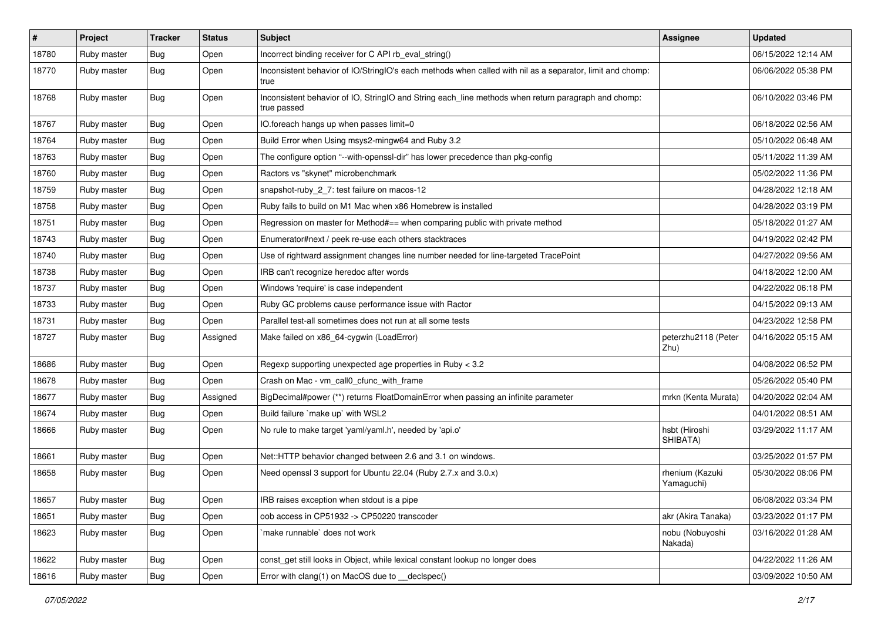| $\pmb{\#}$ | Project     | <b>Tracker</b> | <b>Status</b> | Subject                                                                                                            | Assignee                      | <b>Updated</b>      |
|------------|-------------|----------------|---------------|--------------------------------------------------------------------------------------------------------------------|-------------------------------|---------------------|
| 18780      | Ruby master | <b>Bug</b>     | Open          | Incorrect binding receiver for C API rb_eval_string()                                                              |                               | 06/15/2022 12:14 AM |
| 18770      | Ruby master | <b>Bug</b>     | Open          | Inconsistent behavior of IO/StringIO's each methods when called with nil as a separator, limit and chomp:<br>true  |                               | 06/06/2022 05:38 PM |
| 18768      | Ruby master | <b>Bug</b>     | Open          | Inconsistent behavior of IO, StringIO and String each_line methods when return paragraph and chomp:<br>true passed |                               | 06/10/2022 03:46 PM |
| 18767      | Ruby master | <b>Bug</b>     | Open          | IO.foreach hangs up when passes limit=0                                                                            |                               | 06/18/2022 02:56 AM |
| 18764      | Ruby master | <b>Bug</b>     | Open          | Build Error when Using msys2-mingw64 and Ruby 3.2                                                                  |                               | 05/10/2022 06:48 AM |
| 18763      | Ruby master | <b>Bug</b>     | Open          | The configure option "--with-openssl-dir" has lower precedence than pkg-config                                     |                               | 05/11/2022 11:39 AM |
| 18760      | Ruby master | <b>Bug</b>     | Open          | Ractors vs "skynet" microbenchmark                                                                                 |                               | 05/02/2022 11:36 PM |
| 18759      | Ruby master | <b>Bug</b>     | Open          | snapshot-ruby_2_7: test failure on macos-12                                                                        |                               | 04/28/2022 12:18 AM |
| 18758      | Ruby master | <b>Bug</b>     | Open          | Ruby fails to build on M1 Mac when x86 Homebrew is installed                                                       |                               | 04/28/2022 03:19 PM |
| 18751      | Ruby master | <b>Bug</b>     | Open          | Regression on master for Method#== when comparing public with private method                                       |                               | 05/18/2022 01:27 AM |
| 18743      | Ruby master | <b>Bug</b>     | Open          | Enumerator#next / peek re-use each others stacktraces                                                              |                               | 04/19/2022 02:42 PM |
| 18740      | Ruby master | <b>Bug</b>     | Open          | Use of rightward assignment changes line number needed for line-targeted TracePoint                                |                               | 04/27/2022 09:56 AM |
| 18738      | Ruby master | <b>Bug</b>     | Open          | IRB can't recognize heredoc after words                                                                            |                               | 04/18/2022 12:00 AM |
| 18737      | Ruby master | <b>Bug</b>     | Open          | Windows 'require' is case independent                                                                              |                               | 04/22/2022 06:18 PM |
| 18733      | Ruby master | <b>Bug</b>     | Open          | Ruby GC problems cause performance issue with Ractor                                                               |                               | 04/15/2022 09:13 AM |
| 18731      | Ruby master | <b>Bug</b>     | Open          | Parallel test-all sometimes does not run at all some tests                                                         |                               | 04/23/2022 12:58 PM |
| 18727      | Ruby master | <b>Bug</b>     | Assigned      | Make failed on x86_64-cygwin (LoadError)                                                                           | peterzhu2118 (Peter<br>Zhu)   | 04/16/2022 05:15 AM |
| 18686      | Ruby master | <b>Bug</b>     | Open          | Regexp supporting unexpected age properties in Ruby < 3.2                                                          |                               | 04/08/2022 06:52 PM |
| 18678      | Ruby master | <b>Bug</b>     | Open          | Crash on Mac - vm_call0_cfunc_with_frame                                                                           |                               | 05/26/2022 05:40 PM |
| 18677      | Ruby master | <b>Bug</b>     | Assigned      | BigDecimal#power (**) returns FloatDomainError when passing an infinite parameter                                  | mrkn (Kenta Murata)           | 04/20/2022 02:04 AM |
| 18674      | Ruby master | <b>Bug</b>     | Open          | Build failure `make up` with WSL2                                                                                  |                               | 04/01/2022 08:51 AM |
| 18666      | Ruby master | <b>Bug</b>     | Open          | No rule to make target 'yaml/yaml.h', needed by 'api.o'                                                            | hsbt (Hiroshi<br>SHIBATA)     | 03/29/2022 11:17 AM |
| 18661      | Ruby master | <b>Bug</b>     | Open          | Net::HTTP behavior changed between 2.6 and 3.1 on windows.                                                         |                               | 03/25/2022 01:57 PM |
| 18658      | Ruby master | <b>Bug</b>     | Open          | Need openssl 3 support for Ubuntu 22.04 (Ruby 2.7.x and 3.0.x)                                                     | rhenium (Kazuki<br>Yamaguchi) | 05/30/2022 08:06 PM |
| 18657      | Ruby master | <b>Bug</b>     | Open          | IRB raises exception when stdout is a pipe                                                                         |                               | 06/08/2022 03:34 PM |
| 18651      | Ruby master | Bug            | Open          | oob access in CP51932 -> CP50220 transcoder                                                                        | akr (Akira Tanaka)            | 03/23/2022 01:17 PM |
| 18623      | Ruby master | <b>Bug</b>     | Open          | make runnable' does not work                                                                                       | nobu (Nobuyoshi<br>Nakada)    | 03/16/2022 01:28 AM |
| 18622      | Ruby master | <b>Bug</b>     | Open          | const_get still looks in Object, while lexical constant lookup no longer does                                      |                               | 04/22/2022 11:26 AM |
| 18616      | Ruby master | <b>Bug</b>     | Open          | Error with clang(1) on MacOS due to _declspec()                                                                    |                               | 03/09/2022 10:50 AM |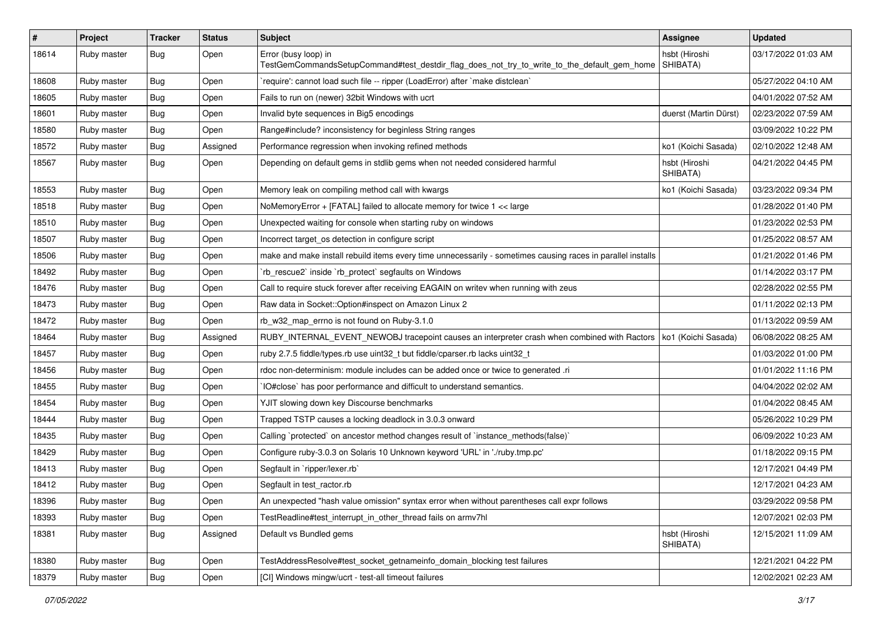| $\vert$ # | Project     | <b>Tracker</b> | <b>Status</b> | Subject                                                                                                             | Assignee                  | <b>Updated</b>      |
|-----------|-------------|----------------|---------------|---------------------------------------------------------------------------------------------------------------------|---------------------------|---------------------|
| 18614     | Ruby master | Bug            | Open          | Error (busy loop) in<br>TestGemCommandsSetupCommand#test_destdir_flag_does_not_try_to_write_to_the_default_gem_home | hsbt (Hiroshi<br>SHIBATA) | 03/17/2022 01:03 AM |
| 18608     | Ruby master | Bug            | Open          | 'require': cannot load such file -- ripper (LoadError) after 'make distclean'                                       |                           | 05/27/2022 04:10 AM |
| 18605     | Ruby master | Bug            | Open          | Fails to run on (newer) 32bit Windows with ucrt                                                                     |                           | 04/01/2022 07:52 AM |
| 18601     | Ruby master | Bug            | Open          | Invalid byte sequences in Big5 encodings                                                                            | duerst (Martin Dürst)     | 02/23/2022 07:59 AM |
| 18580     | Ruby master | Bug            | Open          | Range#include? inconsistency for beginless String ranges                                                            |                           | 03/09/2022 10:22 PM |
| 18572     | Ruby master | <b>Bug</b>     | Assigned      | Performance regression when invoking refined methods                                                                | ko1 (Koichi Sasada)       | 02/10/2022 12:48 AM |
| 18567     | Ruby master | <b>Bug</b>     | Open          | Depending on default gems in stdlib gems when not needed considered harmful                                         | hsbt (Hiroshi<br>SHIBATA) | 04/21/2022 04:45 PM |
| 18553     | Ruby master | Bug            | Open          | Memory leak on compiling method call with kwargs                                                                    | ko1 (Koichi Sasada)       | 03/23/2022 09:34 PM |
| 18518     | Ruby master | <b>Bug</b>     | Open          | NoMemoryError + [FATAL] failed to allocate memory for twice 1 << large                                              |                           | 01/28/2022 01:40 PM |
| 18510     | Ruby master | <b>Bug</b>     | Open          | Unexpected waiting for console when starting ruby on windows                                                        |                           | 01/23/2022 02:53 PM |
| 18507     | Ruby master | <b>Bug</b>     | Open          | Incorrect target_os detection in configure script                                                                   |                           | 01/25/2022 08:57 AM |
| 18506     | Ruby master | Bug            | Open          | make and make install rebuild items every time unnecessarily - sometimes causing races in parallel installs         |                           | 01/21/2022 01:46 PM |
| 18492     | Ruby master | <b>Bug</b>     | Open          | 'rb_rescue2' inside 'rb_protect' segfaults on Windows                                                               |                           | 01/14/2022 03:17 PM |
| 18476     | Ruby master | <b>Bug</b>     | Open          | Call to require stuck forever after receiving EAGAIN on writev when running with zeus                               |                           | 02/28/2022 02:55 PM |
| 18473     | Ruby master | Bug            | Open          | Raw data in Socket::Option#inspect on Amazon Linux 2                                                                |                           | 01/11/2022 02:13 PM |
| 18472     | Ruby master | <b>Bug</b>     | Open          | rb w32 map errno is not found on Ruby-3.1.0                                                                         |                           | 01/13/2022 09:59 AM |
| 18464     | Ruby master | Bug            | Assigned      | RUBY_INTERNAL_EVENT_NEWOBJ tracepoint causes an interpreter crash when combined with Ractors                        | ko1 (Koichi Sasada)       | 06/08/2022 08:25 AM |
| 18457     | Ruby master | <b>Bug</b>     | Open          | ruby 2.7.5 fiddle/types.rb use uint32_t but fiddle/cparser.rb lacks uint32_t                                        |                           | 01/03/2022 01:00 PM |
| 18456     | Ruby master | <b>Bug</b>     | Open          | rdoc non-determinism: module includes can be added once or twice to generated .ri                                   |                           | 01/01/2022 11:16 PM |
| 18455     | Ruby master | <b>Bug</b>     | Open          | IO#close` has poor performance and difficult to understand semantics.                                               |                           | 04/04/2022 02:02 AM |
| 18454     | Ruby master | <b>Bug</b>     | Open          | YJIT slowing down key Discourse benchmarks                                                                          |                           | 01/04/2022 08:45 AM |
| 18444     | Ruby master | Bug            | Open          | Trapped TSTP causes a locking deadlock in 3.0.3 onward                                                              |                           | 05/26/2022 10:29 PM |
| 18435     | Ruby master | Bug            | Open          | Calling `protected` on ancestor method changes result of `instance_methods(false)`                                  |                           | 06/09/2022 10:23 AM |
| 18429     | Ruby master | <b>Bug</b>     | Open          | Configure ruby-3.0.3 on Solaris 10 Unknown keyword 'URL' in './ruby.tmp.pc'                                         |                           | 01/18/2022 09:15 PM |
| 18413     | Ruby master | <b>Bug</b>     | Open          | Segfault in `ripper/lexer.rb`                                                                                       |                           | 12/17/2021 04:49 PM |
| 18412     | Ruby master | <b>Bug</b>     | Open          | Segfault in test_ractor.rb                                                                                          |                           | 12/17/2021 04:23 AM |
| 18396     | Ruby master | Bug            | Open          | An unexpected "hash value omission" syntax error when without parentheses call expr follows                         |                           | 03/29/2022 09:58 PM |
| 18393     | Ruby master | Bug            | Open          | TestReadline#test_interrupt_in_other_thread fails on armv7hl                                                        |                           | 12/07/2021 02:03 PM |
| 18381     | Ruby master | <b>Bug</b>     | Assigned      | Default vs Bundled gems                                                                                             | hsbt (Hiroshi<br>SHIBATA) | 12/15/2021 11:09 AM |
| 18380     | Ruby master | Bug            | Open          | TestAddressResolve#test socket getnameinfo domain blocking test failures                                            |                           | 12/21/2021 04:22 PM |
| 18379     | Ruby master | Bug            | Open          | [CI] Windows mingw/ucrt - test-all timeout failures                                                                 |                           | 12/02/2021 02:23 AM |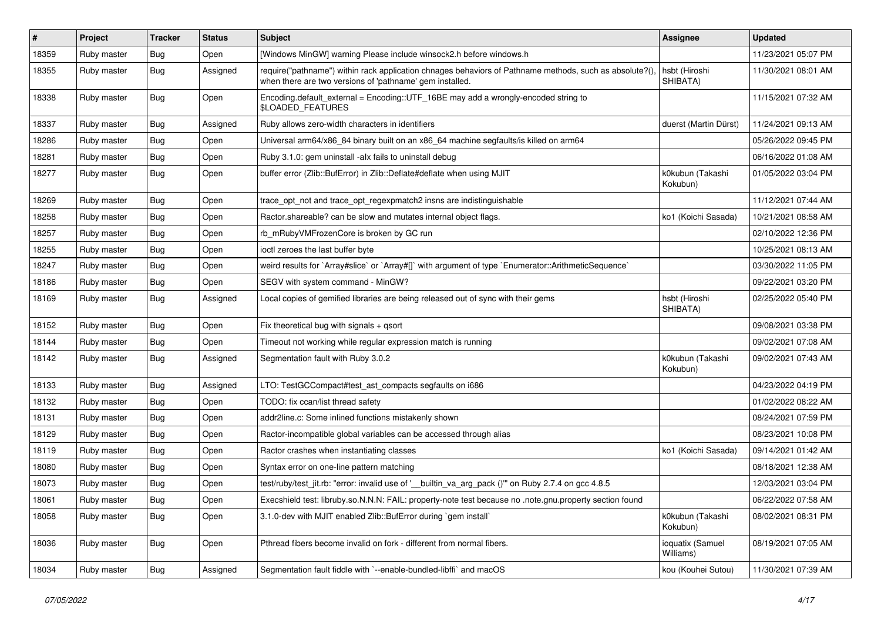| $\vert$ # | Project     | <b>Tracker</b> | <b>Status</b> | Subject                                                                                                                                                             | <b>Assignee</b>               | <b>Updated</b>      |
|-----------|-------------|----------------|---------------|---------------------------------------------------------------------------------------------------------------------------------------------------------------------|-------------------------------|---------------------|
| 18359     | Ruby master | <b>Bug</b>     | Open          | [Windows MinGW] warning Please include winsock2.h before windows.h                                                                                                  |                               | 11/23/2021 05:07 PM |
| 18355     | Ruby master | <b>Bug</b>     | Assigned      | require("pathname") within rack application chnages behaviors of Pathname methods, such as absolute?(),<br>when there are two versions of 'pathname' gem installed. | hsbt (Hiroshi<br>SHIBATA)     | 11/30/2021 08:01 AM |
| 18338     | Ruby master | Bug            | Open          | Encoding.default_external = Encoding::UTF_16BE may add a wrongly-encoded string to<br>\$LOADED_FEATURES                                                             |                               | 11/15/2021 07:32 AM |
| 18337     | Ruby master | <b>Bug</b>     | Assigned      | Ruby allows zero-width characters in identifiers                                                                                                                    | duerst (Martin Dürst)         | 11/24/2021 09:13 AM |
| 18286     | Ruby master | <b>Bug</b>     | Open          | Universal arm64/x86_84 binary built on an x86_64 machine segfaults/is killed on arm64                                                                               |                               | 05/26/2022 09:45 PM |
| 18281     | Ruby master | <b>Bug</b>     | Open          | Ruby 3.1.0: gem uninstall -alx fails to uninstall debug                                                                                                             |                               | 06/16/2022 01:08 AM |
| 18277     | Ruby master | <b>Bug</b>     | Open          | buffer error (Zlib::BufError) in Zlib::Deflate#deflate when using MJIT                                                                                              | k0kubun (Takashi<br>Kokubun)  | 01/05/2022 03:04 PM |
| 18269     | Ruby master | <b>Bug</b>     | Open          | trace_opt_not and trace_opt_regexpmatch2 insns are indistinguishable                                                                                                |                               | 11/12/2021 07:44 AM |
| 18258     | Ruby master | <b>Bug</b>     | Open          | Ractor.shareable? can be slow and mutates internal object flags.                                                                                                    | ko1 (Koichi Sasada)           | 10/21/2021 08:58 AM |
| 18257     | Ruby master | <b>Bug</b>     | Open          | rb_mRubyVMFrozenCore is broken by GC run                                                                                                                            |                               | 02/10/2022 12:36 PM |
| 18255     | Ruby master | Bug            | Open          | ioctl zeroes the last buffer byte                                                                                                                                   |                               | 10/25/2021 08:13 AM |
| 18247     | Ruby master | <b>Bug</b>     | Open          | weird results for `Array#slice` or `Array#[]` with argument of type `Enumerator::ArithmeticSequence`                                                                |                               | 03/30/2022 11:05 PM |
| 18186     | Ruby master | <b>Bug</b>     | Open          | SEGV with system command - MinGW?                                                                                                                                   |                               | 09/22/2021 03:20 PM |
| 18169     | Ruby master | <b>Bug</b>     | Assigned      | Local copies of gemified libraries are being released out of sync with their gems                                                                                   | hsbt (Hiroshi<br>SHIBATA)     | 02/25/2022 05:40 PM |
| 18152     | Ruby master | Bug            | Open          | Fix theoretical bug with signals $+$ qsort                                                                                                                          |                               | 09/08/2021 03:38 PM |
| 18144     | Ruby master | <b>Bug</b>     | Open          | Timeout not working while regular expression match is running                                                                                                       |                               | 09/02/2021 07:08 AM |
| 18142     | Ruby master | <b>Bug</b>     | Assigned      | Segmentation fault with Ruby 3.0.2                                                                                                                                  | k0kubun (Takashi<br>Kokubun)  | 09/02/2021 07:43 AM |
| 18133     | Ruby master | <b>Bug</b>     | Assigned      | LTO: TestGCCompact#test_ast_compacts segfaults on i686                                                                                                              |                               | 04/23/2022 04:19 PM |
| 18132     | Ruby master | Bug            | Open          | TODO: fix ccan/list thread safety                                                                                                                                   |                               | 01/02/2022 08:22 AM |
| 18131     | Ruby master | <b>Bug</b>     | Open          | addr2line.c: Some inlined functions mistakenly shown                                                                                                                |                               | 08/24/2021 07:59 PM |
| 18129     | Ruby master | <b>Bug</b>     | Open          | Ractor-incompatible global variables can be accessed through alias                                                                                                  |                               | 08/23/2021 10:08 PM |
| 18119     | Ruby master | <b>Bug</b>     | Open          | Ractor crashes when instantiating classes                                                                                                                           | ko1 (Koichi Sasada)           | 09/14/2021 01:42 AM |
| 18080     | Ruby master | <b>Bug</b>     | Open          | Syntax error on one-line pattern matching                                                                                                                           |                               | 08/18/2021 12:38 AM |
| 18073     | Ruby master | <b>Bug</b>     | Open          | test/ruby/test_jit.rb: "error: invalid use of '__builtin_va_arg_pack ()"" on Ruby 2.7.4 on gcc 4.8.5                                                                |                               | 12/03/2021 03:04 PM |
| 18061     | Ruby master | Bug            | Open          | .execshield test: libruby.so.N.N.N: FAIL: property-note test because no .note.gnu.property section found                                                            |                               | 06/22/2022 07:58 AM |
| 18058     | Ruby master | Bug            | Open          | 3.1.0-dev with MJIT enabled Zlib::BufError during `gem install`                                                                                                     | k0kubun (Takashi<br>Kokubun)  | 08/02/2021 08:31 PM |
| 18036     | Ruby master | <b>Bug</b>     | Open          | Pthread fibers become invalid on fork - different from normal fibers.                                                                                               | ioquatix (Samuel<br>Williams) | 08/19/2021 07:05 AM |
| 18034     | Ruby master | Bug            | Assigned      | Segmentation fault fiddle with `--enable-bundled-libffi` and macOS                                                                                                  | kou (Kouhei Sutou)            | 11/30/2021 07:39 AM |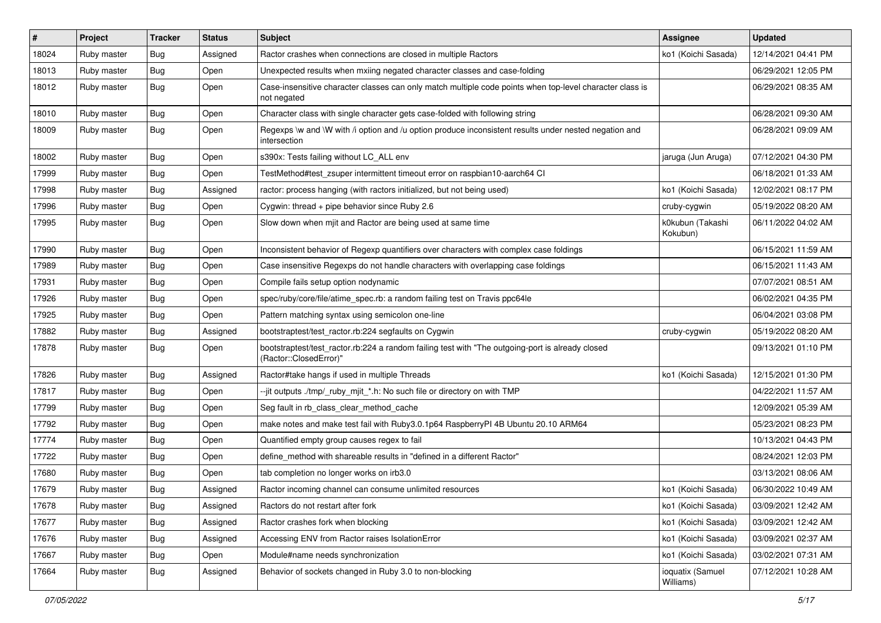| $\vert$ # | Project     | <b>Tracker</b> | <b>Status</b> | Subject                                                                                                                    | <b>Assignee</b>               | <b>Updated</b>      |
|-----------|-------------|----------------|---------------|----------------------------------------------------------------------------------------------------------------------------|-------------------------------|---------------------|
| 18024     | Ruby master | <b>Bug</b>     | Assigned      | Ractor crashes when connections are closed in multiple Ractors                                                             | ko1 (Koichi Sasada)           | 12/14/2021 04:41 PM |
| 18013     | Ruby master | <b>Bug</b>     | Open          | Unexpected results when mxiing negated character classes and case-folding                                                  |                               | 06/29/2021 12:05 PM |
| 18012     | Ruby master | <b>Bug</b>     | Open          | Case-insensitive character classes can only match multiple code points when top-level character class is<br>not negated    |                               | 06/29/2021 08:35 AM |
| 18010     | Ruby master | Bug            | Open          | Character class with single character gets case-folded with following string                                               |                               | 06/28/2021 09:30 AM |
| 18009     | Ruby master | <b>Bug</b>     | Open          | Regexps \w and \W with /i option and /u option produce inconsistent results under nested negation and<br>intersection      |                               | 06/28/2021 09:09 AM |
| 18002     | Ruby master | <b>Bug</b>     | Open          | s390x: Tests failing without LC_ALL env                                                                                    | jaruga (Jun Aruga)            | 07/12/2021 04:30 PM |
| 17999     | Ruby master | <b>Bug</b>     | Open          | TestMethod#test_zsuper intermittent timeout error on raspbian10-aarch64 CI                                                 |                               | 06/18/2021 01:33 AM |
| 17998     | Ruby master | <b>Bug</b>     | Assigned      | ractor: process hanging (with ractors initialized, but not being used)                                                     | ko1 (Koichi Sasada)           | 12/02/2021 08:17 PM |
| 17996     | Ruby master | Bug            | Open          | Cygwin: thread + pipe behavior since Ruby 2.6                                                                              | cruby-cygwin                  | 05/19/2022 08:20 AM |
| 17995     | Ruby master | Bug            | Open          | Slow down when mjit and Ractor are being used at same time                                                                 | k0kubun (Takashi<br>Kokubun)  | 06/11/2022 04:02 AM |
| 17990     | Ruby master | Bug            | Open          | Inconsistent behavior of Regexp quantifiers over characters with complex case foldings                                     |                               | 06/15/2021 11:59 AM |
| 17989     | Ruby master | <b>Bug</b>     | Open          | Case insensitive Regexps do not handle characters with overlapping case foldings                                           |                               | 06/15/2021 11:43 AM |
| 17931     | Ruby master | Bug            | Open          | Compile fails setup option nodynamic                                                                                       |                               | 07/07/2021 08:51 AM |
| 17926     | Ruby master | <b>Bug</b>     | Open          | spec/ruby/core/file/atime_spec.rb: a random failing test on Travis ppc64le                                                 |                               | 06/02/2021 04:35 PM |
| 17925     | Ruby master | <b>Bug</b>     | Open          | Pattern matching syntax using semicolon one-line                                                                           |                               | 06/04/2021 03:08 PM |
| 17882     | Ruby master | <b>Bug</b>     | Assigned      | bootstraptest/test_ractor.rb:224 segfaults on Cygwin                                                                       | cruby-cygwin                  | 05/19/2022 08:20 AM |
| 17878     | Ruby master | Bug            | Open          | bootstraptest/test_ractor.rb:224 a random failing test with "The outgoing-port is already closed<br>(Ractor::ClosedError)" |                               | 09/13/2021 01:10 PM |
| 17826     | Ruby master | <b>Bug</b>     | Assigned      | Ractor#take hangs if used in multiple Threads                                                                              | ko1 (Koichi Sasada)           | 12/15/2021 01:30 PM |
| 17817     | Ruby master | <b>Bug</b>     | Open          | --jit outputs ./tmp/_ruby_mjit_*.h: No such file or directory on with TMP                                                  |                               | 04/22/2021 11:57 AM |
| 17799     | Ruby master | <b>Bug</b>     | Open          | Seg fault in rb_class_clear_method_cache                                                                                   |                               | 12/09/2021 05:39 AM |
| 17792     | Ruby master | <b>Bug</b>     | Open          | make notes and make test fail with Ruby3.0.1p64 RaspberryPI 4B Ubuntu 20.10 ARM64                                          |                               | 05/23/2021 08:23 PM |
| 17774     | Ruby master | <b>Bug</b>     | Open          | Quantified empty group causes regex to fail                                                                                |                               | 10/13/2021 04:43 PM |
| 17722     | Ruby master | Bug            | Open          | define_method with shareable results in "defined in a different Ractor"                                                    |                               | 08/24/2021 12:03 PM |
| 17680     | Ruby master | Bug            | Open          | tab completion no longer works on irb3.0                                                                                   |                               | 03/13/2021 08:06 AM |
| 17679     | Ruby master | <b>Bug</b>     | Assigned      | Ractor incoming channel can consume unlimited resources                                                                    | ko1 (Koichi Sasada)           | 06/30/2022 10:49 AM |
| 17678     | Ruby master | <b>Bug</b>     | Assigned      | Ractors do not restart after fork                                                                                          | ko1 (Koichi Sasada)           | 03/09/2021 12:42 AM |
| 17677     | Ruby master | Bug            | Assigned      | Ractor crashes fork when blocking                                                                                          | ko1 (Koichi Sasada)           | 03/09/2021 12:42 AM |
| 17676     | Ruby master | <b>Bug</b>     | Assigned      | Accessing ENV from Ractor raises IsolationError                                                                            | ko1 (Koichi Sasada)           | 03/09/2021 02:37 AM |
| 17667     | Ruby master | <b>Bug</b>     | Open          | Module#name needs synchronization                                                                                          | ko1 (Koichi Sasada)           | 03/02/2021 07:31 AM |
| 17664     | Ruby master | <b>Bug</b>     | Assigned      | Behavior of sockets changed in Ruby 3.0 to non-blocking                                                                    | ioquatix (Samuel<br>Williams) | 07/12/2021 10:28 AM |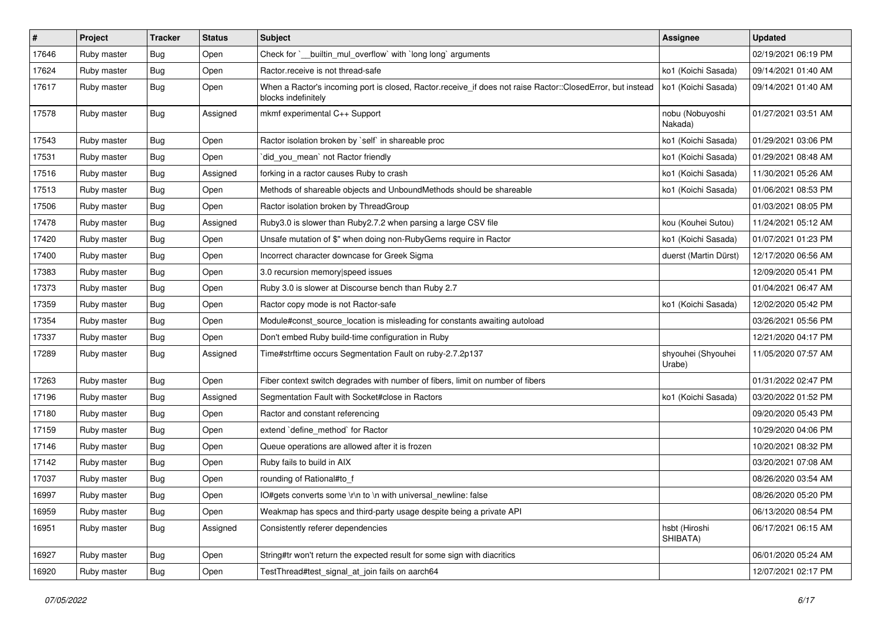| $\vert$ # | Project     | <b>Tracker</b> | <b>Status</b> | <b>Subject</b>                                                                                                                    | Assignee                     | <b>Updated</b>      |
|-----------|-------------|----------------|---------------|-----------------------------------------------------------------------------------------------------------------------------------|------------------------------|---------------------|
| 17646     | Ruby master | Bug            | Open          | Check for `_builtin_mul_overflow` with `long long` arguments                                                                      |                              | 02/19/2021 06:19 PM |
| 17624     | Ruby master | <b>Bug</b>     | Open          | Ractor.receive is not thread-safe                                                                                                 | ko1 (Koichi Sasada)          | 09/14/2021 01:40 AM |
| 17617     | Ruby master | <b>Bug</b>     | Open          | When a Ractor's incoming port is closed, Ractor.receive_if does not raise Ractor::ClosedError, but instead<br>blocks indefinitely | ko1 (Koichi Sasada)          | 09/14/2021 01:40 AM |
| 17578     | Ruby master | Bug            | Assigned      | mkmf experimental C++ Support                                                                                                     | nobu (Nobuyoshi<br>Nakada)   | 01/27/2021 03:51 AM |
| 17543     | Ruby master | Bug            | Open          | Ractor isolation broken by `self` in shareable proc                                                                               | ko1 (Koichi Sasada)          | 01/29/2021 03:06 PM |
| 17531     | Ruby master | Bug            | Open          | did_you_mean` not Ractor friendly                                                                                                 | ko1 (Koichi Sasada)          | 01/29/2021 08:48 AM |
| 17516     | Ruby master | Bug            | Assigned      | forking in a ractor causes Ruby to crash                                                                                          | ko1 (Koichi Sasada)          | 11/30/2021 05:26 AM |
| 17513     | Ruby master | Bug            | Open          | Methods of shareable objects and UnboundMethods should be shareable                                                               | ko1 (Koichi Sasada)          | 01/06/2021 08:53 PM |
| 17506     | Ruby master | Bug            | Open          | Ractor isolation broken by ThreadGroup                                                                                            |                              | 01/03/2021 08:05 PM |
| 17478     | Ruby master | <b>Bug</b>     | Assigned      | Ruby3.0 is slower than Ruby2.7.2 when parsing a large CSV file                                                                    | kou (Kouhei Sutou)           | 11/24/2021 05:12 AM |
| 17420     | Ruby master | Bug            | Open          | Unsafe mutation of \$" when doing non-RubyGems require in Ractor                                                                  | ko1 (Koichi Sasada)          | 01/07/2021 01:23 PM |
| 17400     | Ruby master | <b>Bug</b>     | Open          | Incorrect character downcase for Greek Sigma                                                                                      | duerst (Martin Dürst)        | 12/17/2020 06:56 AM |
| 17383     | Ruby master | Bug            | Open          | 3.0 recursion memory speed issues                                                                                                 |                              | 12/09/2020 05:41 PM |
| 17373     | Ruby master | Bug            | Open          | Ruby 3.0 is slower at Discourse bench than Ruby 2.7                                                                               |                              | 01/04/2021 06:47 AM |
| 17359     | Ruby master | <b>Bug</b>     | Open          | Ractor copy mode is not Ractor-safe                                                                                               | ko1 (Koichi Sasada)          | 12/02/2020 05:42 PM |
| 17354     | Ruby master | Bug            | Open          | Module#const_source_location is misleading for constants awaiting autoload                                                        |                              | 03/26/2021 05:56 PM |
| 17337     | Ruby master | Bug            | Open          | Don't embed Ruby build-time configuration in Ruby                                                                                 |                              | 12/21/2020 04:17 PM |
| 17289     | Ruby master | Bug            | Assigned      | Time#strftime occurs Segmentation Fault on ruby-2.7.2p137                                                                         | shyouhei (Shyouhei<br>Urabe) | 11/05/2020 07:57 AM |
| 17263     | Ruby master | Bug            | Open          | Fiber context switch degrades with number of fibers, limit on number of fibers                                                    |                              | 01/31/2022 02:47 PM |
| 17196     | Ruby master | Bug            | Assigned      | Segmentation Fault with Socket#close in Ractors                                                                                   | ko1 (Koichi Sasada)          | 03/20/2022 01:52 PM |
| 17180     | Ruby master | Bug            | Open          | Ractor and constant referencing                                                                                                   |                              | 09/20/2020 05:43 PM |
| 17159     | Ruby master | <b>Bug</b>     | Open          | extend `define_method` for Ractor                                                                                                 |                              | 10/29/2020 04:06 PM |
| 17146     | Ruby master | Bug            | Open          | Queue operations are allowed after it is frozen                                                                                   |                              | 10/20/2021 08:32 PM |
| 17142     | Ruby master | Bug            | Open          | Ruby fails to build in AIX                                                                                                        |                              | 03/20/2021 07:08 AM |
| 17037     | Ruby master | Bug            | Open          | rounding of Rational#to_f                                                                                                         |                              | 08/26/2020 03:54 AM |
| 16997     | Ruby master | Bug            | Open          | IO#gets converts some \r\n to \n with universal_newline: false                                                                    |                              | 08/26/2020 05:20 PM |
| 16959     | Ruby master | <b>Bug</b>     | Open          | Weakmap has specs and third-party usage despite being a private API                                                               |                              | 06/13/2020 08:54 PM |
| 16951     | Ruby master | Bug            | Assigned      | Consistently referer dependencies                                                                                                 | hsbt (Hiroshi<br>SHIBATA)    | 06/17/2021 06:15 AM |
| 16927     | Ruby master | <b>Bug</b>     | Open          | String#tr won't return the expected result for some sign with diacritics                                                          |                              | 06/01/2020 05:24 AM |
| 16920     | Ruby master | <b>Bug</b>     | Open          | TestThread#test_signal_at_join fails on aarch64                                                                                   |                              | 12/07/2021 02:17 PM |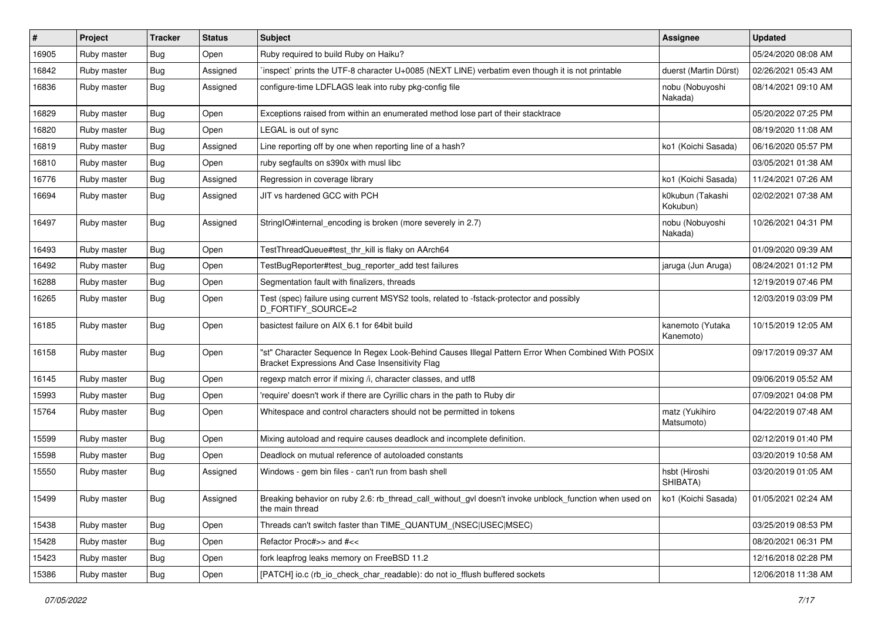| #     | Project     | <b>Tracker</b> | <b>Status</b> | Subject                                                                                                                                               | <b>Assignee</b>               | <b>Updated</b>      |
|-------|-------------|----------------|---------------|-------------------------------------------------------------------------------------------------------------------------------------------------------|-------------------------------|---------------------|
| 16905 | Ruby master | Bug            | Open          | Ruby required to build Ruby on Haiku?                                                                                                                 |                               | 05/24/2020 08:08 AM |
| 16842 | Ruby master | <b>Bug</b>     | Assigned      | inspect` prints the UTF-8 character U+0085 (NEXT LINE) verbatim even though it is not printable                                                       | duerst (Martin Dürst)         | 02/26/2021 05:43 AM |
| 16836 | Ruby master | Bug            | Assigned      | configure-time LDFLAGS leak into ruby pkg-config file                                                                                                 | nobu (Nobuyoshi<br>Nakada)    | 08/14/2021 09:10 AM |
| 16829 | Ruby master | <b>Bug</b>     | Open          | Exceptions raised from within an enumerated method lose part of their stacktrace                                                                      |                               | 05/20/2022 07:25 PM |
| 16820 | Ruby master | <b>Bug</b>     | Open          | LEGAL is out of sync                                                                                                                                  |                               | 08/19/2020 11:08 AM |
| 16819 | Ruby master | <b>Bug</b>     | Assigned      | Line reporting off by one when reporting line of a hash?                                                                                              | ko1 (Koichi Sasada)           | 06/16/2020 05:57 PM |
| 16810 | Ruby master | <b>Bug</b>     | Open          | ruby segfaults on s390x with musl libc                                                                                                                |                               | 03/05/2021 01:38 AM |
| 16776 | Ruby master | <b>Bug</b>     | Assigned      | Regression in coverage library                                                                                                                        | ko1 (Koichi Sasada)           | 11/24/2021 07:26 AM |
| 16694 | Ruby master | <b>Bug</b>     | Assigned      | JIT vs hardened GCC with PCH                                                                                                                          | k0kubun (Takashi<br>Kokubun)  | 02/02/2021 07:38 AM |
| 16497 | Ruby master | <b>Bug</b>     | Assigned      | StringIO#internal_encoding is broken (more severely in 2.7)                                                                                           | nobu (Nobuyoshi<br>Nakada)    | 10/26/2021 04:31 PM |
| 16493 | Ruby master | <b>Bug</b>     | Open          | TestThreadQueue#test thr kill is flaky on AArch64                                                                                                     |                               | 01/09/2020 09:39 AM |
| 16492 | Ruby master | <b>Bug</b>     | Open          | TestBugReporter#test_bug_reporter_add test failures                                                                                                   | jaruga (Jun Aruga)            | 08/24/2021 01:12 PM |
| 16288 | Ruby master | <b>Bug</b>     | Open          | Segmentation fault with finalizers, threads                                                                                                           |                               | 12/19/2019 07:46 PM |
| 16265 | Ruby master | <b>Bug</b>     | Open          | Test (spec) failure using current MSYS2 tools, related to -fstack-protector and possibly<br>D_FORTIFY_SOURCE=2                                        |                               | 12/03/2019 03:09 PM |
| 16185 | Ruby master | Bug            | Open          | basictest failure on AIX 6.1 for 64bit build                                                                                                          | kanemoto (Yutaka<br>Kanemoto) | 10/15/2019 12:05 AM |
| 16158 | Ruby master | <b>Bug</b>     | Open          | "st" Character Sequence In Regex Look-Behind Causes Illegal Pattern Error When Combined With POSIX<br>Bracket Expressions And Case Insensitivity Flag |                               | 09/17/2019 09:37 AM |
| 16145 | Ruby master | <b>Bug</b>     | Open          | regexp match error if mixing /i, character classes, and utf8                                                                                          |                               | 09/06/2019 05:52 AM |
| 15993 | Ruby master | <b>Bug</b>     | Open          | 'require' doesn't work if there are Cyrillic chars in the path to Ruby dir                                                                            |                               | 07/09/2021 04:08 PM |
| 15764 | Ruby master | <b>Bug</b>     | Open          | Whitespace and control characters should not be permitted in tokens                                                                                   | matz (Yukihiro<br>Matsumoto)  | 04/22/2019 07:48 AM |
| 15599 | Ruby master | <b>Bug</b>     | Open          | Mixing autoload and require causes deadlock and incomplete definition.                                                                                |                               | 02/12/2019 01:40 PM |
| 15598 | Ruby master | <b>Bug</b>     | Open          | Deadlock on mutual reference of autoloaded constants                                                                                                  |                               | 03/20/2019 10:58 AM |
| 15550 | Ruby master | Bug            | Assigned      | Windows - gem bin files - can't run from bash shell                                                                                                   | hsbt (Hiroshi<br>SHIBATA)     | 03/20/2019 01:05 AM |
| 15499 | Ruby master | Bug            | Assigned      | Breaking behavior on ruby 2.6: rb_thread_call_without_gvl doesn't invoke unblock_function when used on   ko1 (Koichi Sasada)<br>the main thread       |                               | 01/05/2021 02:24 AM |
| 15438 | Ruby master | <b>Bug</b>     | Open          | Threads can't switch faster than TIME_QUANTUM_(NSEC USEC MSEC)                                                                                        |                               | 03/25/2019 08:53 PM |
| 15428 | Ruby master | Bug            | Open          | Refactor Proc#>> and #<<                                                                                                                              |                               | 08/20/2021 06:31 PM |
| 15423 | Ruby master | <b>Bug</b>     | Open          | fork leapfrog leaks memory on FreeBSD 11.2                                                                                                            |                               | 12/16/2018 02:28 PM |
| 15386 | Ruby master | <b>Bug</b>     | Open          | [PATCH] io.c (rb_io_check_char_readable): do not io_fflush buffered sockets                                                                           |                               | 12/06/2018 11:38 AM |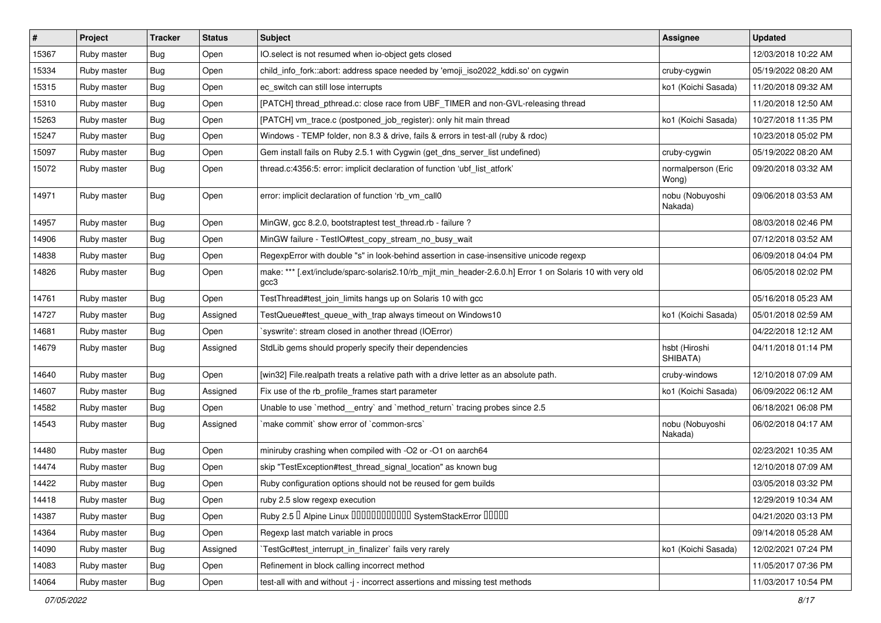| $\vert$ # | Project     | <b>Tracker</b> | <b>Status</b> | Subject                                                                                                           | Assignee                    | <b>Updated</b>      |
|-----------|-------------|----------------|---------------|-------------------------------------------------------------------------------------------------------------------|-----------------------------|---------------------|
| 15367     | Ruby master | <b>Bug</b>     | Open          | IO.select is not resumed when io-object gets closed                                                               |                             | 12/03/2018 10:22 AM |
| 15334     | Ruby master | <b>Bug</b>     | Open          | child_info_fork::abort: address space needed by 'emoji_iso2022_kddi.so' on cygwin                                 | cruby-cygwin                | 05/19/2022 08:20 AM |
| 15315     | Ruby master | <b>Bug</b>     | Open          | ec_switch can still lose interrupts                                                                               | ko1 (Koichi Sasada)         | 11/20/2018 09:32 AM |
| 15310     | Ruby master | <b>Bug</b>     | Open          | [PATCH] thread_pthread.c: close race from UBF_TIMER and non-GVL-releasing thread                                  |                             | 11/20/2018 12:50 AM |
| 15263     | Ruby master | <b>Bug</b>     | Open          | [PATCH] vm_trace.c (postponed_job_register): only hit main thread                                                 | ko1 (Koichi Sasada)         | 10/27/2018 11:35 PM |
| 15247     | Ruby master | Bug            | Open          | Windows - TEMP folder, non 8.3 & drive, fails & errors in test-all (ruby & rdoc)                                  |                             | 10/23/2018 05:02 PM |
| 15097     | Ruby master | <b>Bug</b>     | Open          | Gem install fails on Ruby 2.5.1 with Cygwin (get_dns_server_list undefined)                                       | cruby-cygwin                | 05/19/2022 08:20 AM |
| 15072     | Ruby master | Bug            | Open          | thread.c:4356:5: error: implicit declaration of function 'ubf_list_atfork'                                        | normalperson (Eric<br>Wong) | 09/20/2018 03:32 AM |
| 14971     | Ruby master | <b>Bug</b>     | Open          | error: implicit declaration of function 'rb_vm_call0                                                              | nobu (Nobuyoshi<br>Nakada)  | 09/06/2018 03:53 AM |
| 14957     | Ruby master | <b>Bug</b>     | Open          | MinGW, gcc 8.2.0, bootstraptest test_thread.rb - failure ?                                                        |                             | 08/03/2018 02:46 PM |
| 14906     | Ruby master | Bug            | Open          | MinGW failure - TestIO#test_copy_stream_no_busy_wait                                                              |                             | 07/12/2018 03:52 AM |
| 14838     | Ruby master | <b>Bug</b>     | Open          | RegexpError with double "s" in look-behind assertion in case-insensitive unicode regexp                           |                             | 06/09/2018 04:04 PM |
| 14826     | Ruby master | Bug            | Open          | make: *** [.ext/include/sparc-solaris2.10/rb_mjit_min_header-2.6.0.h] Error 1 on Solaris 10 with very old<br>gcc3 |                             | 06/05/2018 02:02 PM |
| 14761     | Ruby master | <b>Bug</b>     | Open          | TestThread#test_join_limits hangs up on Solaris 10 with gcc                                                       |                             | 05/16/2018 05:23 AM |
| 14727     | Ruby master | <b>Bug</b>     | Assigned      | TestQueue#test_queue_with_trap always timeout on Windows10                                                        | ko1 (Koichi Sasada)         | 05/01/2018 02:59 AM |
| 14681     | Ruby master | Bug            | Open          | syswrite': stream closed in another thread (IOError)                                                              |                             | 04/22/2018 12:12 AM |
| 14679     | Ruby master | Bug            | Assigned      | StdLib gems should properly specify their dependencies                                                            | hsbt (Hiroshi<br>SHIBATA)   | 04/11/2018 01:14 PM |
| 14640     | Ruby master | Bug            | Open          | [win32] File.realpath treats a relative path with a drive letter as an absolute path.                             | cruby-windows               | 12/10/2018 07:09 AM |
| 14607     | Ruby master | <b>Bug</b>     | Assigned      | Fix use of the rb_profile_frames start parameter                                                                  | ko1 (Koichi Sasada)         | 06/09/2022 06:12 AM |
| 14582     | Ruby master | <b>Bug</b>     | Open          | Unable to use `method_entry` and `method_return` tracing probes since 2.5                                         |                             | 06/18/2021 06:08 PM |
| 14543     | Ruby master | Bug            | Assigned      | make commit`show error of `common-srcs`                                                                           | nobu (Nobuyoshi<br>Nakada)  | 06/02/2018 04:17 AM |
| 14480     | Ruby master | Bug            | Open          | miniruby crashing when compiled with -O2 or -O1 on aarch64                                                        |                             | 02/23/2021 10:35 AM |
| 14474     | Ruby master | <b>Bug</b>     | Open          | skip "TestException#test_thread_signal_location" as known bug                                                     |                             | 12/10/2018 07:09 AM |
| 14422     | Ruby master | <b>Bug</b>     | Open          | Ruby configuration options should not be reused for gem builds                                                    |                             | 03/05/2018 03:32 PM |
| 14418     | Ruby master | Bug            | Open          | ruby 2.5 slow regexp execution                                                                                    |                             | 12/29/2019 10:34 AM |
| 14387     | Ruby master | Bug            | Open          | Ruby 2.5 <sup>D</sup> Alpine Linux 000000000000 SystemStackError 00000                                            |                             | 04/21/2020 03:13 PM |
| 14364     | Ruby master | <b>Bug</b>     | Open          | Regexp last match variable in procs                                                                               |                             | 09/14/2018 05:28 AM |
| 14090     | Ruby master | Bug            | Assigned      | TestGc#test_interrupt_in_finalizer` fails very rarely                                                             | ko1 (Koichi Sasada)         | 12/02/2021 07:24 PM |
| 14083     | Ruby master | Bug            | Open          | Refinement in block calling incorrect method                                                                      |                             | 11/05/2017 07:36 PM |
| 14064     | Ruby master | <b>Bug</b>     | Open          | test-all with and without -j - incorrect assertions and missing test methods                                      |                             | 11/03/2017 10:54 PM |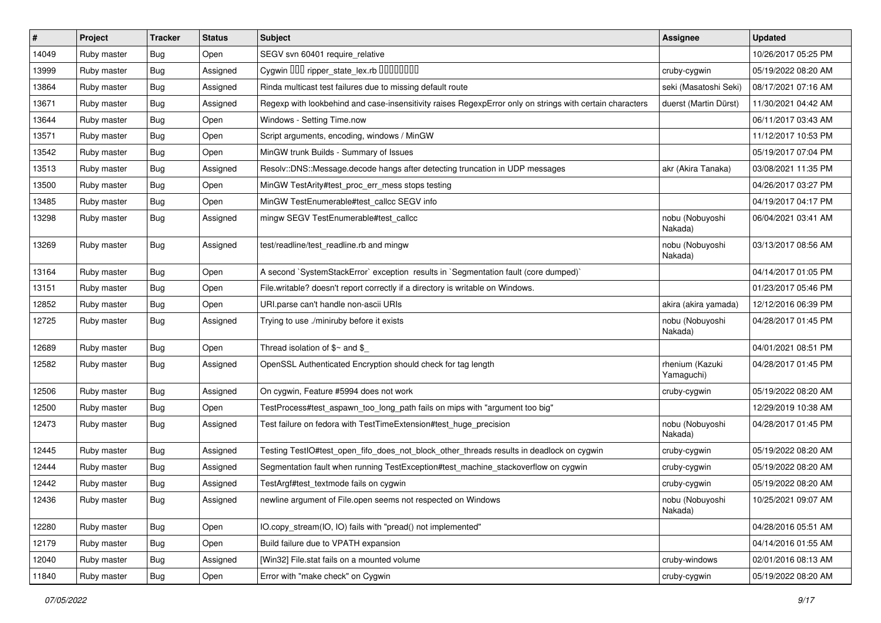| $\vert$ # | Project     | <b>Tracker</b> | <b>Status</b> | Subject                                                                                                  | Assignee                      | <b>Updated</b>      |
|-----------|-------------|----------------|---------------|----------------------------------------------------------------------------------------------------------|-------------------------------|---------------------|
| 14049     | Ruby master | <b>Bug</b>     | Open          | SEGV svn 60401 require_relative                                                                          |                               | 10/26/2017 05:25 PM |
| 13999     | Ruby master | Bug            | Assigned      | Cygwin OOO ripper_state_lex.rb 0000000                                                                   | cruby-cygwin                  | 05/19/2022 08:20 AM |
| 13864     | Ruby master | <b>Bug</b>     | Assigned      | Rinda multicast test failures due to missing default route                                               | seki (Masatoshi Seki)         | 08/17/2021 07:16 AM |
| 13671     | Ruby master | <b>Bug</b>     | Assigned      | Regexp with lookbehind and case-insensitivity raises RegexpError only on strings with certain characters | duerst (Martin Dürst)         | 11/30/2021 04:42 AM |
| 13644     | Ruby master | <b>Bug</b>     | Open          | Windows - Setting Time.now                                                                               |                               | 06/11/2017 03:43 AM |
| 13571     | Ruby master | <b>Bug</b>     | Open          | Script arguments, encoding, windows / MinGW                                                              |                               | 11/12/2017 10:53 PM |
| 13542     | Ruby master | <b>Bug</b>     | Open          | MinGW trunk Builds - Summary of Issues                                                                   |                               | 05/19/2017 07:04 PM |
| 13513     | Ruby master | <b>Bug</b>     | Assigned      | Resolv::DNS::Message.decode hangs after detecting truncation in UDP messages                             | akr (Akira Tanaka)            | 03/08/2021 11:35 PM |
| 13500     | Ruby master | Bug            | Open          | MinGW TestArity#test_proc_err_mess stops testing                                                         |                               | 04/26/2017 03:27 PM |
| 13485     | Ruby master | <b>Bug</b>     | Open          | MinGW TestEnumerable#test_callcc SEGV info                                                               |                               | 04/19/2017 04:17 PM |
| 13298     | Ruby master | <b>Bug</b>     | Assigned      | mingw SEGV TestEnumerable#test_callcc                                                                    | nobu (Nobuyoshi<br>Nakada)    | 06/04/2021 03:41 AM |
| 13269     | Ruby master | <b>Bug</b>     | Assigned      | test/readline/test_readline.rb and mingw                                                                 | nobu (Nobuyoshi<br>Nakada)    | 03/13/2017 08:56 AM |
| 13164     | Ruby master | <b>Bug</b>     | Open          | A second `SystemStackError` exception results in `Segmentation fault (core dumped)`                      |                               | 04/14/2017 01:05 PM |
| 13151     | Ruby master | <b>Bug</b>     | Open          | File.writable? doesn't report correctly if a directory is writable on Windows.                           |                               | 01/23/2017 05:46 PM |
| 12852     | Ruby master | <b>Bug</b>     | Open          | URI.parse can't handle non-ascii URIs                                                                    | akira (akira yamada)          | 12/12/2016 06:39 PM |
| 12725     | Ruby master | <b>Bug</b>     | Assigned      | Trying to use ./miniruby before it exists                                                                | nobu (Nobuyoshi<br>Nakada)    | 04/28/2017 01:45 PM |
| 12689     | Ruby master | <b>Bug</b>     | Open          | Thread isolation of $$~$ and \$                                                                          |                               | 04/01/2021 08:51 PM |
| 12582     | Ruby master | <b>Bug</b>     | Assigned      | OpenSSL Authenticated Encryption should check for tag length                                             | rhenium (Kazuki<br>Yamaguchi) | 04/28/2017 01:45 PM |
| 12506     | Ruby master | <b>Bug</b>     | Assigned      | On cygwin, Feature #5994 does not work                                                                   | cruby-cygwin                  | 05/19/2022 08:20 AM |
| 12500     | Ruby master | <b>Bug</b>     | Open          | TestProcess#test_aspawn_too_long_path fails on mips with "argument too big"                              |                               | 12/29/2019 10:38 AM |
| 12473     | Ruby master | Bug            | Assigned      | Test failure on fedora with TestTimeExtension#test_huge_precision                                        | nobu (Nobuyoshi<br>Nakada)    | 04/28/2017 01:45 PM |
| 12445     | Ruby master | <b>Bug</b>     | Assigned      | Testing TestlO#test_open_fifo_does_not_block_other_threads results in deadlock on cygwin                 | cruby-cygwin                  | 05/19/2022 08:20 AM |
| 12444     | Ruby master | <b>Bug</b>     | Assigned      | Segmentation fault when running TestException#test_machine_stackoverflow on cygwin                       | cruby-cygwin                  | 05/19/2022 08:20 AM |
| 12442     | Ruby master | <b>Bug</b>     | Assigned      | TestArgf#test_textmode fails on cygwin                                                                   | cruby-cygwin                  | 05/19/2022 08:20 AM |
| 12436     | Ruby master | Bug            | Assigned      | newline argument of File.open seems not respected on Windows                                             | nobu (Nobuyoshi<br>Nakada)    | 10/25/2021 09:07 AM |
| 12280     | Ruby master | <b>Bug</b>     | Open          | IO.copy_stream(IO, IO) fails with "pread() not implemented"                                              |                               | 04/28/2016 05:51 AM |
| 12179     | Ruby master | <b>Bug</b>     | Open          | Build failure due to VPATH expansion                                                                     |                               | 04/14/2016 01:55 AM |
| 12040     | Ruby master | <b>Bug</b>     | Assigned      | [Win32] File.stat fails on a mounted volume                                                              | cruby-windows                 | 02/01/2016 08:13 AM |
| 11840     | Ruby master | Bug            | Open          | Error with "make check" on Cygwin                                                                        | cruby-cygwin                  | 05/19/2022 08:20 AM |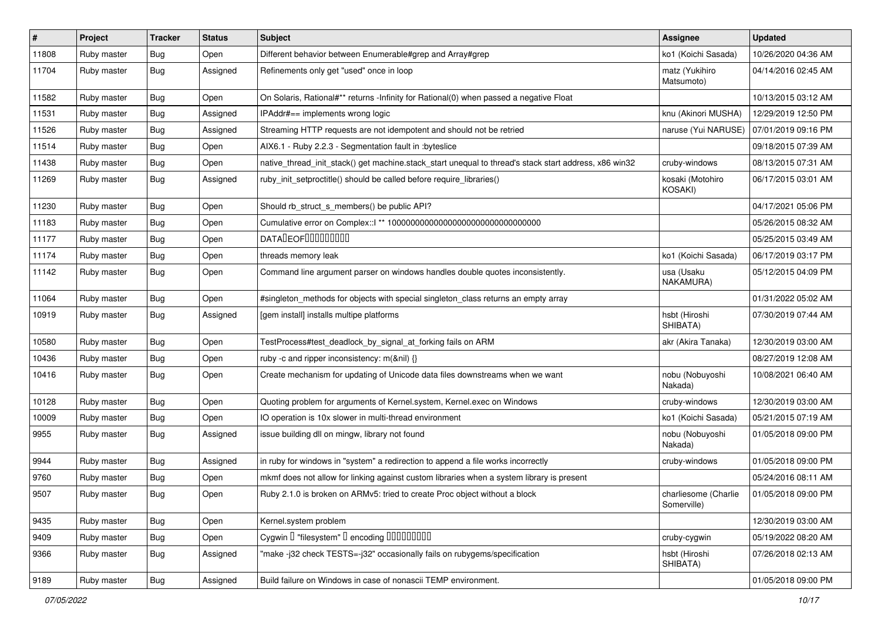| $\vert$ # | Project     | <b>Tracker</b> | <b>Status</b> | <b>Subject</b>                                                                                        | <b>Assignee</b>                     | <b>Updated</b>      |
|-----------|-------------|----------------|---------------|-------------------------------------------------------------------------------------------------------|-------------------------------------|---------------------|
| 11808     | Ruby master | Bug            | Open          | Different behavior between Enumerable#grep and Array#grep                                             | ko1 (Koichi Sasada)                 | 10/26/2020 04:36 AM |
| 11704     | Ruby master | Bug            | Assigned      | Refinements only get "used" once in loop                                                              | matz (Yukihiro<br>Matsumoto)        | 04/14/2016 02:45 AM |
| 11582     | Ruby master | <b>Bug</b>     | Open          | On Solaris, Rational#** returns -Infinity for Rational(0) when passed a negative Float                |                                     | 10/13/2015 03:12 AM |
| 11531     | Ruby master | Bug            | Assigned      | IPAddr#== implements wrong logic                                                                      | knu (Akinori MUSHA)                 | 12/29/2019 12:50 PM |
| 11526     | Ruby master | Bug            | Assigned      | Streaming HTTP requests are not idempotent and should not be retried                                  | naruse (Yui NARUSE)                 | 07/01/2019 09:16 PM |
| 11514     | Ruby master | Bug            | Open          | AIX6.1 - Ruby 2.2.3 - Segmentation fault in : byteslice                                               |                                     | 09/18/2015 07:39 AM |
| 11438     | Ruby master | Bug            | Open          | native thread init stack() get machine.stack_start unequal to thread's stack start address, x86 win32 | cruby-windows                       | 08/13/2015 07:31 AM |
| 11269     | Ruby master | Bug            | Assigned      | ruby_init_setproctitle() should be called before require_libraries()                                  | kosaki (Motohiro<br>KOSAKI)         | 06/17/2015 03:01 AM |
| 11230     | Ruby master | <b>Bug</b>     | Open          | Should rb struct s members() be public API?                                                           |                                     | 04/17/2021 05:06 PM |
| 11183     | Ruby master | <b>Bug</b>     | Open          |                                                                                                       |                                     | 05/26/2015 08:32 AM |
| 11177     | Ruby master | Bug            | Open          | <b>DATALEOFILILILILILI</b>                                                                            |                                     | 05/25/2015 03:49 AM |
| 11174     | Ruby master | Bug            | Open          | threads memory leak                                                                                   | ko1 (Koichi Sasada)                 | 06/17/2019 03:17 PM |
| 11142     | Ruby master | <b>Bug</b>     | Open          | Command line argument parser on windows handles double quotes inconsistently.                         | usa (Usaku<br>NAKAMURA)             | 05/12/2015 04:09 PM |
| 11064     | Ruby master | <b>Bug</b>     | Open          | #singleton_methods for objects with special singleton_class returns an empty array                    |                                     | 01/31/2022 05:02 AM |
| 10919     | Ruby master | <b>Bug</b>     | Assigned      | [gem install] installs multipe platforms                                                              | hsbt (Hiroshi<br>SHIBATA)           | 07/30/2019 07:44 AM |
| 10580     | Ruby master | Bug            | Open          | TestProcess#test_deadlock_by_signal_at_forking fails on ARM                                           | akr (Akira Tanaka)                  | 12/30/2019 03:00 AM |
| 10436     | Ruby master | Bug            | Open          | ruby -c and ripper inconsistency: m(&nil) {}                                                          |                                     | 08/27/2019 12:08 AM |
| 10416     | Ruby master | Bug            | Open          | Create mechanism for updating of Unicode data files downstreams when we want                          | nobu (Nobuyoshi<br>Nakada)          | 10/08/2021 06:40 AM |
| 10128     | Ruby master | <b>Bug</b>     | Open          | Quoting problem for arguments of Kernel.system, Kernel.exec on Windows                                | cruby-windows                       | 12/30/2019 03:00 AM |
| 10009     | Ruby master | Bug            | Open          | IO operation is 10x slower in multi-thread environment                                                | ko1 (Koichi Sasada)                 | 05/21/2015 07:19 AM |
| 9955      | Ruby master | Bug            | Assigned      | issue building dll on mingw, library not found                                                        | nobu (Nobuyoshi<br>Nakada)          | 01/05/2018 09:00 PM |
| 9944      | Ruby master | Bug            | Assigned      | in ruby for windows in "system" a redirection to append a file works incorrectly                      | cruby-windows                       | 01/05/2018 09:00 PM |
| 9760      | Ruby master | Bug            | Open          | mkmf does not allow for linking against custom libraries when a system library is present             |                                     | 05/24/2016 08:11 AM |
| 9507      | Ruby master | <b>Bug</b>     | Open          | Ruby 2.1.0 is broken on ARMv5: tried to create Proc object without a block                            | charliesome (Charlie<br>Somerville) | 01/05/2018 09:00 PM |
| 9435      | Ruby master | Bug            | Open          | Kernel.system problem                                                                                 |                                     | 12/30/2019 03:00 AM |
| 9409      | Ruby master | <b>Bug</b>     | Open          | Cygwin I "filesystem" I encoding IIIIIIIIIIIII                                                        | cruby-cygwin                        | 05/19/2022 08:20 AM |
| 9366      | Ruby master | Bug            | Assigned      | "make -j32 check TESTS=-j32" occasionally fails on rubygems/specification                             | hsbt (Hiroshi<br>SHIBATA)           | 07/26/2018 02:13 AM |
| 9189      | Ruby master | <b>Bug</b>     | Assigned      | Build failure on Windows in case of nonascii TEMP environment.                                        |                                     | 01/05/2018 09:00 PM |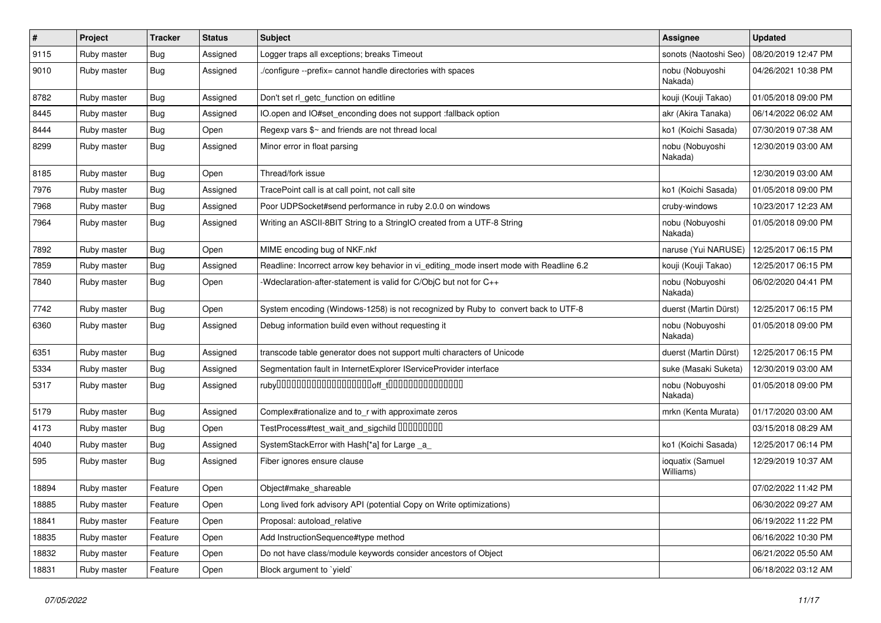| #     | Project     | <b>Tracker</b> | <b>Status</b> | Subject                                                                                 | <b>Assignee</b>               | <b>Updated</b>      |
|-------|-------------|----------------|---------------|-----------------------------------------------------------------------------------------|-------------------------------|---------------------|
| 9115  | Ruby master | Bug            | Assigned      | Logger traps all exceptions; breaks Timeout                                             | sonots (Naotoshi Seo)         | 08/20/2019 12:47 PM |
| 9010  | Ruby master | <b>Bug</b>     | Assigned      | /configure --prefix= cannot handle directories with spaces                              | nobu (Nobuyoshi<br>Nakada)    | 04/26/2021 10:38 PM |
| 8782  | Ruby master | <b>Bug</b>     | Assigned      | Don't set rl_getc_function on editline                                                  | kouji (Kouji Takao)           | 01/05/2018 09:00 PM |
| 8445  | Ruby master | <b>Bug</b>     | Assigned      | IO.open and IO#set_enconding does not support :fallback option                          | akr (Akira Tanaka)            | 06/14/2022 06:02 AM |
| 8444  | Ruby master | <b>Bug</b>     | Open          | Regexp vars \$~ and friends are not thread local                                        | ko1 (Koichi Sasada)           | 07/30/2019 07:38 AM |
| 8299  | Ruby master | <b>Bug</b>     | Assigned      | Minor error in float parsing                                                            | nobu (Nobuyoshi<br>Nakada)    | 12/30/2019 03:00 AM |
| 8185  | Ruby master | Bug            | Open          | Thread/fork issue                                                                       |                               | 12/30/2019 03:00 AM |
| 7976  | Ruby master | <b>Bug</b>     | Assigned      | TracePoint call is at call point, not call site                                         | ko1 (Koichi Sasada)           | 01/05/2018 09:00 PM |
| 7968  | Ruby master | Bug            | Assigned      | Poor UDPSocket#send performance in ruby 2.0.0 on windows                                | cruby-windows                 | 10/23/2017 12:23 AM |
| 7964  | Ruby master | Bug            | Assigned      | Writing an ASCII-8BIT String to a StringIO created from a UTF-8 String                  | nobu (Nobuyoshi<br>Nakada)    | 01/05/2018 09:00 PM |
| 7892  | Ruby master | <b>Bug</b>     | Open          | MIME encoding bug of NKF.nkf                                                            | naruse (Yui NARUSE)           | 12/25/2017 06:15 PM |
| 7859  | Ruby master | <b>Bug</b>     | Assigned      | Readline: Incorrect arrow key behavior in vi_editing_mode insert mode with Readline 6.2 | kouji (Kouji Takao)           | 12/25/2017 06:15 PM |
| 7840  | Ruby master | <b>Bug</b>     | Open          | -Wdeclaration-after-statement is valid for C/ObjC but not for C++                       | nobu (Nobuyoshi<br>Nakada)    | 06/02/2020 04:41 PM |
| 7742  | Ruby master | <b>Bug</b>     | Open          | System encoding (Windows-1258) is not recognized by Ruby to convert back to UTF-8       | duerst (Martin Dürst)         | 12/25/2017 06:15 PM |
| 6360  | Ruby master | <b>Bug</b>     | Assigned      | Debug information build even without requesting it                                      | nobu (Nobuyoshi<br>Nakada)    | 01/05/2018 09:00 PM |
| 6351  | Ruby master | <b>Bug</b>     | Assigned      | transcode table generator does not support multi characters of Unicode                  | duerst (Martin Dürst)         | 12/25/2017 06:15 PM |
| 5334  | Ruby master | <b>Bug</b>     | Assigned      | Segmentation fault in InternetExplorer IServiceProvider interface                       | suke (Masaki Suketa)          | 12/30/2019 03:00 AM |
| 5317  | Ruby master | <b>Bug</b>     | Assigned      |                                                                                         | nobu (Nobuyoshi<br>Nakada)    | 01/05/2018 09:00 PM |
| 5179  | Ruby master | <b>Bug</b>     | Assigned      | Complex#rationalize and to_r with approximate zeros                                     | mrkn (Kenta Murata)           | 01/17/2020 03:00 AM |
| 4173  | Ruby master | <b>Bug</b>     | Open          | TestProcess#test_wait_and_sigchild DDDDDDDD                                             |                               | 03/15/2018 08:29 AM |
| 4040  | Ruby master | Bug            | Assigned      | SystemStackError with Hash[*a] for Large a                                              | ko1 (Koichi Sasada)           | 12/25/2017 06:14 PM |
| 595   | Ruby master | Bug            | Assigned      | Fiber ignores ensure clause                                                             | ioquatix (Samuel<br>Williams) | 12/29/2019 10:37 AM |
| 18894 | Ruby master | Feature        | Open          | Object#make_shareable                                                                   |                               | 07/02/2022 11:42 PM |
| 18885 | Ruby master | Feature        | Open          | Long lived fork advisory API (potential Copy on Write optimizations)                    |                               | 06/30/2022 09:27 AM |
| 18841 | Ruby master | Feature        | Open          | Proposal: autoload_relative                                                             |                               | 06/19/2022 11:22 PM |
| 18835 | Ruby master | Feature        | Open          | Add InstructionSequence#type method                                                     |                               | 06/16/2022 10:30 PM |
| 18832 | Ruby master | Feature        | Open          | Do not have class/module keywords consider ancestors of Object                          |                               | 06/21/2022 05:50 AM |
| 18831 | Ruby master | Feature        | Open          | Block argument to 'yield'                                                               |                               | 06/18/2022 03:12 AM |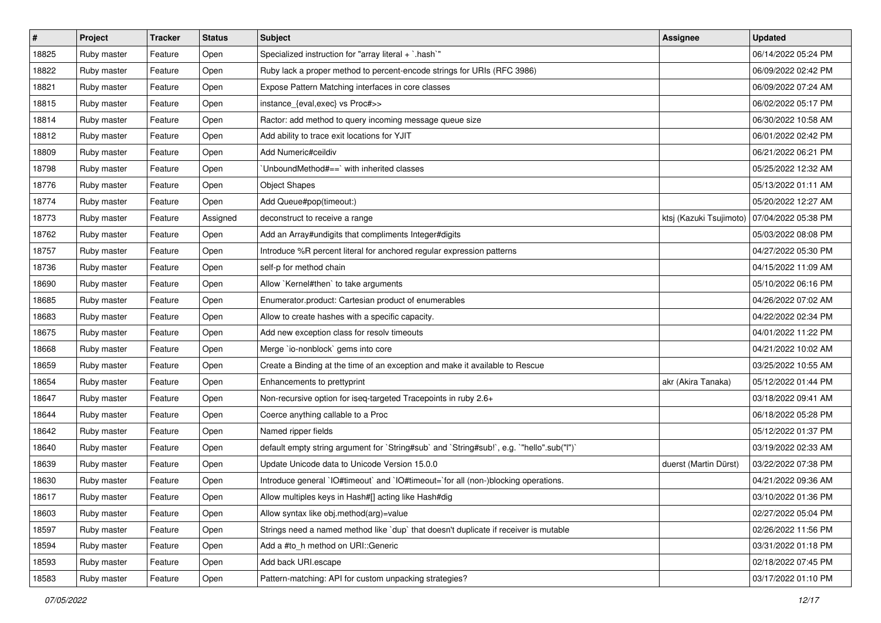| $\pmb{\#}$ | Project     | <b>Tracker</b> | <b>Status</b> | <b>Subject</b>                                                                            | <b>Assignee</b>         | <b>Updated</b>      |
|------------|-------------|----------------|---------------|-------------------------------------------------------------------------------------------|-------------------------|---------------------|
| 18825      | Ruby master | Feature        | Open          | Specialized instruction for "array literal + `.hash`"                                     |                         | 06/14/2022 05:24 PM |
| 18822      | Ruby master | Feature        | Open          | Ruby lack a proper method to percent-encode strings for URIs (RFC 3986)                   |                         | 06/09/2022 02:42 PM |
| 18821      | Ruby master | Feature        | Open          | Expose Pattern Matching interfaces in core classes                                        |                         | 06/09/2022 07:24 AM |
| 18815      | Ruby master | Feature        | Open          | instance_{eval,exec} vs Proc#>>                                                           |                         | 06/02/2022 05:17 PM |
| 18814      | Ruby master | Feature        | Open          | Ractor: add method to query incoming message queue size                                   |                         | 06/30/2022 10:58 AM |
| 18812      | Ruby master | Feature        | Open          | Add ability to trace exit locations for YJIT                                              |                         | 06/01/2022 02:42 PM |
| 18809      | Ruby master | Feature        | Open          | Add Numeric#ceildiv                                                                       |                         | 06/21/2022 06:21 PM |
| 18798      | Ruby master | Feature        | Open          | 'UnboundMethod#==' with inherited classes                                                 |                         | 05/25/2022 12:32 AM |
| 18776      | Ruby master | Feature        | Open          | <b>Object Shapes</b>                                                                      |                         | 05/13/2022 01:11 AM |
| 18774      | Ruby master | Feature        | Open          | Add Queue#pop(timeout:)                                                                   |                         | 05/20/2022 12:27 AM |
| 18773      | Ruby master | Feature        | Assigned      | deconstruct to receive a range                                                            | ktsj (Kazuki Tsujimoto) | 07/04/2022 05:38 PM |
| 18762      | Ruby master | Feature        | Open          | Add an Array#undigits that compliments Integer#digits                                     |                         | 05/03/2022 08:08 PM |
| 18757      | Ruby master | Feature        | Open          | Introduce %R percent literal for anchored regular expression patterns                     |                         | 04/27/2022 05:30 PM |
| 18736      | Ruby master | Feature        | Open          | self-p for method chain                                                                   |                         | 04/15/2022 11:09 AM |
| 18690      | Ruby master | Feature        | Open          | Allow `Kernel#then` to take arguments                                                     |                         | 05/10/2022 06:16 PM |
| 18685      | Ruby master | Feature        | Open          | Enumerator.product: Cartesian product of enumerables                                      |                         | 04/26/2022 07:02 AM |
| 18683      | Ruby master | Feature        | Open          | Allow to create hashes with a specific capacity.                                          |                         | 04/22/2022 02:34 PM |
| 18675      | Ruby master | Feature        | Open          | Add new exception class for resolv timeouts                                               |                         | 04/01/2022 11:22 PM |
| 18668      | Ruby master | Feature        | Open          | Merge `io-nonblock` gems into core                                                        |                         | 04/21/2022 10:02 AM |
| 18659      | Ruby master | Feature        | Open          | Create a Binding at the time of an exception and make it available to Rescue              |                         | 03/25/2022 10:55 AM |
| 18654      | Ruby master | Feature        | Open          | Enhancements to prettyprint                                                               | akr (Akira Tanaka)      | 05/12/2022 01:44 PM |
| 18647      | Ruby master | Feature        | Open          | Non-recursive option for iseq-targeted Tracepoints in ruby 2.6+                           |                         | 03/18/2022 09:41 AM |
| 18644      | Ruby master | Feature        | Open          | Coerce anything callable to a Proc                                                        |                         | 06/18/2022 05:28 PM |
| 18642      | Ruby master | Feature        | Open          | Named ripper fields                                                                       |                         | 05/12/2022 01:37 PM |
| 18640      | Ruby master | Feature        | Open          | default empty string argument for `String#sub` and `String#sub!`, e.g. `"hello".sub("I")` |                         | 03/19/2022 02:33 AM |
| 18639      | Ruby master | Feature        | Open          | Update Unicode data to Unicode Version 15.0.0                                             | duerst (Martin Dürst)   | 03/22/2022 07:38 PM |
| 18630      | Ruby master | Feature        | Open          | Introduce general `IO#timeout` and `IO#timeout=`for all (non-)blocking operations.        |                         | 04/21/2022 09:36 AM |
| 18617      | Ruby master | Feature        | Open          | Allow multiples keys in Hash#[] acting like Hash#dig                                      |                         | 03/10/2022 01:36 PM |
| 18603      | Ruby master | Feature        | Open          | Allow syntax like obj.method(arg)=value                                                   |                         | 02/27/2022 05:04 PM |
| 18597      | Ruby master | Feature        | Open          | Strings need a named method like 'dup' that doesn't duplicate if receiver is mutable      |                         | 02/26/2022 11:56 PM |
| 18594      | Ruby master | Feature        | Open          | Add a #to_h method on URI::Generic                                                        |                         | 03/31/2022 01:18 PM |
| 18593      | Ruby master | Feature        | Open          | Add back URI.escape                                                                       |                         | 02/18/2022 07:45 PM |
| 18583      | Ruby master | Feature        | Open          | Pattern-matching: API for custom unpacking strategies?                                    |                         | 03/17/2022 01:10 PM |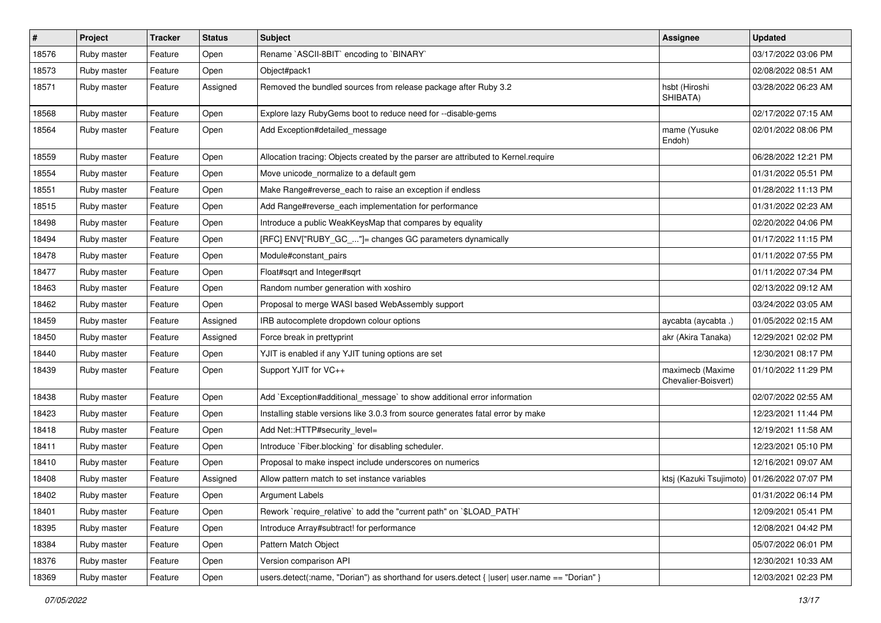| $\vert$ # | Project     | <b>Tracker</b> | <b>Status</b> | Subject                                                                                      | <b>Assignee</b>                         | <b>Updated</b>      |
|-----------|-------------|----------------|---------------|----------------------------------------------------------------------------------------------|-----------------------------------------|---------------------|
| 18576     | Ruby master | Feature        | Open          | Rename `ASCII-8BIT` encoding to `BINARY`                                                     |                                         | 03/17/2022 03:06 PM |
| 18573     | Ruby master | Feature        | Open          | Object#pack1                                                                                 |                                         | 02/08/2022 08:51 AM |
| 18571     | Ruby master | Feature        | Assigned      | Removed the bundled sources from release package after Ruby 3.2                              | hsbt (Hiroshi<br>SHIBATA)               | 03/28/2022 06:23 AM |
| 18568     | Ruby master | Feature        | Open          | Explore lazy RubyGems boot to reduce need for --disable-gems                                 |                                         | 02/17/2022 07:15 AM |
| 18564     | Ruby master | Feature        | Open          | Add Exception#detailed_message                                                               | mame (Yusuke<br>Endoh)                  | 02/01/2022 08:06 PM |
| 18559     | Ruby master | Feature        | Open          | Allocation tracing: Objects created by the parser are attributed to Kernel.require           |                                         | 06/28/2022 12:21 PM |
| 18554     | Ruby master | Feature        | Open          | Move unicode_normalize to a default gem                                                      |                                         | 01/31/2022 05:51 PM |
| 18551     | Ruby master | Feature        | Open          | Make Range#reverse_each to raise an exception if endless                                     |                                         | 01/28/2022 11:13 PM |
| 18515     | Ruby master | Feature        | Open          | Add Range#reverse_each implementation for performance                                        |                                         | 01/31/2022 02:23 AM |
| 18498     | Ruby master | Feature        | Open          | Introduce a public WeakKeysMap that compares by equality                                     |                                         | 02/20/2022 04:06 PM |
| 18494     | Ruby master | Feature        | Open          | [RFC] ENV["RUBY_GC_"]= changes GC parameters dynamically                                     |                                         | 01/17/2022 11:15 PM |
| 18478     | Ruby master | Feature        | Open          | Module#constant_pairs                                                                        |                                         | 01/11/2022 07:55 PM |
| 18477     | Ruby master | Feature        | Open          | Float#sqrt and Integer#sqrt                                                                  |                                         | 01/11/2022 07:34 PM |
| 18463     | Ruby master | Feature        | Open          | Random number generation with xoshiro                                                        |                                         | 02/13/2022 09:12 AM |
| 18462     | Ruby master | Feature        | Open          | Proposal to merge WASI based WebAssembly support                                             |                                         | 03/24/2022 03:05 AM |
| 18459     | Ruby master | Feature        | Assigned      | IRB autocomplete dropdown colour options                                                     | aycabta (aycabta.)                      | 01/05/2022 02:15 AM |
| 18450     | Ruby master | Feature        | Assigned      | Force break in prettyprint                                                                   | akr (Akira Tanaka)                      | 12/29/2021 02:02 PM |
| 18440     | Ruby master | Feature        | Open          | YJIT is enabled if any YJIT tuning options are set                                           |                                         | 12/30/2021 08:17 PM |
| 18439     | Ruby master | Feature        | Open          | Support YJIT for VC++                                                                        | maximecb (Maxime<br>Chevalier-Boisvert) | 01/10/2022 11:29 PM |
| 18438     | Ruby master | Feature        | Open          | Add `Exception#additional_message` to show additional error information                      |                                         | 02/07/2022 02:55 AM |
| 18423     | Ruby master | Feature        | Open          | Installing stable versions like 3.0.3 from source generates fatal error by make              |                                         | 12/23/2021 11:44 PM |
| 18418     | Ruby master | Feature        | Open          | Add Net::HTTP#security_level=                                                                |                                         | 12/19/2021 11:58 AM |
| 18411     | Ruby master | Feature        | Open          | Introduce `Fiber.blocking` for disabling scheduler.                                          |                                         | 12/23/2021 05:10 PM |
| 18410     | Ruby master | Feature        | Open          | Proposal to make inspect include underscores on numerics                                     |                                         | 12/16/2021 09:07 AM |
| 18408     | Ruby master | Feature        | Assigned      | Allow pattern match to set instance variables                                                | ktsj (Kazuki Tsujimoto)                 | 01/26/2022 07:07 PM |
| 18402     | Ruby master | Feature        | Open          | Argument Labels                                                                              |                                         | 01/31/2022 06:14 PM |
| 18401     | Ruby master | Feature        | Open          | Rework `require_relative` to add the "current path" on `\$LOAD_PATH`                         |                                         | 12/09/2021 05:41 PM |
| 18395     | Ruby master | Feature        | Open          | Introduce Array#subtract! for performance                                                    |                                         | 12/08/2021 04:42 PM |
| 18384     | Ruby master | Feature        | Open          | Pattern Match Object                                                                         |                                         | 05/07/2022 06:01 PM |
| 18376     | Ruby master | Feature        | Open          | Version comparison API                                                                       |                                         | 12/30/2021 10:33 AM |
| 18369     | Ruby master | Feature        | Open          | users.detect(:name, "Dorian") as shorthand for users.detect {  user  user.name == "Dorian" } |                                         | 12/03/2021 02:23 PM |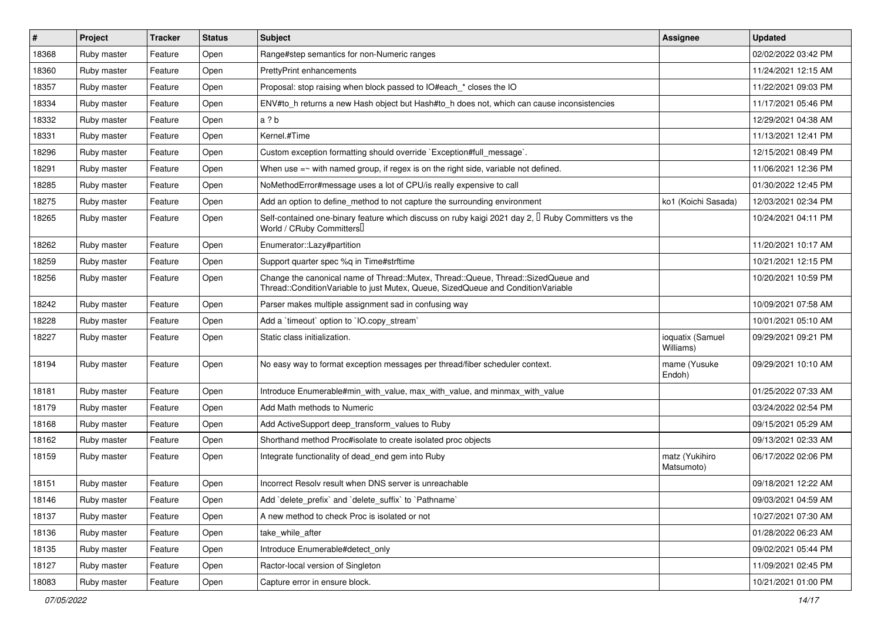| #     | Project     | <b>Tracker</b> | <b>Status</b> | Subject                                                                                                                                                               | Assignee                      | <b>Updated</b>      |
|-------|-------------|----------------|---------------|-----------------------------------------------------------------------------------------------------------------------------------------------------------------------|-------------------------------|---------------------|
| 18368 | Ruby master | Feature        | Open          | Range#step semantics for non-Numeric ranges                                                                                                                           |                               | 02/02/2022 03:42 PM |
| 18360 | Ruby master | Feature        | Open          | <b>PrettyPrint enhancements</b>                                                                                                                                       |                               | 11/24/2021 12:15 AM |
| 18357 | Ruby master | Feature        | Open          | Proposal: stop raising when block passed to IO#each_* closes the IO                                                                                                   |                               | 11/22/2021 09:03 PM |
| 18334 | Ruby master | Feature        | Open          | ENV#to_h returns a new Hash object but Hash#to_h does not, which can cause inconsistencies                                                                            |                               | 11/17/2021 05:46 PM |
| 18332 | Ruby master | Feature        | Open          | a?b                                                                                                                                                                   |                               | 12/29/2021 04:38 AM |
| 18331 | Ruby master | Feature        | Open          | Kernel.#Time                                                                                                                                                          |                               | 11/13/2021 12:41 PM |
| 18296 | Ruby master | Feature        | Open          | Custom exception formatting should override `Exception#full_message`.                                                                                                 |                               | 12/15/2021 08:49 PM |
| 18291 | Ruby master | Feature        | Open          | When use $=\sim$ with named group, if regex is on the right side, variable not defined.                                                                               |                               | 11/06/2021 12:36 PM |
| 18285 | Ruby master | Feature        | Open          | NoMethodError#message uses a lot of CPU/is really expensive to call                                                                                                   |                               | 01/30/2022 12:45 PM |
| 18275 | Ruby master | Feature        | Open          | Add an option to define_method to not capture the surrounding environment                                                                                             | ko1 (Koichi Sasada)           | 12/03/2021 02:34 PM |
| 18265 | Ruby master | Feature        | Open          | Self-contained one-binary feature which discuss on ruby kaigi 2021 day 2, $\mathbb{I}$ Ruby Committers vs the<br>World / CRuby Committers                             |                               | 10/24/2021 04:11 PM |
| 18262 | Ruby master | Feature        | Open          | Enumerator::Lazy#partition                                                                                                                                            |                               | 11/20/2021 10:17 AM |
| 18259 | Ruby master | Feature        | Open          | Support quarter spec %q in Time#strftime                                                                                                                              |                               | 10/21/2021 12:15 PM |
| 18256 | Ruby master | Feature        | Open          | Change the canonical name of Thread::Mutex, Thread::Queue, Thread::SizedQueue and<br>Thread::ConditionVariable to just Mutex, Queue, SizedQueue and ConditionVariable |                               | 10/20/2021 10:59 PM |
| 18242 | Ruby master | Feature        | Open          | Parser makes multiple assignment sad in confusing way                                                                                                                 |                               | 10/09/2021 07:58 AM |
| 18228 | Ruby master | Feature        | Open          | Add a 'timeout' option to 'IO.copy_stream'                                                                                                                            |                               | 10/01/2021 05:10 AM |
| 18227 | Ruby master | Feature        | Open          | Static class initialization.                                                                                                                                          | ioquatix (Samuel<br>Williams) | 09/29/2021 09:21 PM |
| 18194 | Ruby master | Feature        | Open          | No easy way to format exception messages per thread/fiber scheduler context.                                                                                          | mame (Yusuke<br>Endoh)        | 09/29/2021 10:10 AM |
| 18181 | Ruby master | Feature        | Open          | Introduce Enumerable#min_with_value, max_with_value, and minmax_with_value                                                                                            |                               | 01/25/2022 07:33 AM |
| 18179 | Ruby master | Feature        | Open          | Add Math methods to Numeric                                                                                                                                           |                               | 03/24/2022 02:54 PM |
| 18168 | Ruby master | Feature        | Open          | Add ActiveSupport deep_transform_values to Ruby                                                                                                                       |                               | 09/15/2021 05:29 AM |
| 18162 | Ruby master | Feature        | Open          | Shorthand method Proc#isolate to create isolated proc objects                                                                                                         |                               | 09/13/2021 02:33 AM |
| 18159 | Ruby master | Feature        | Open          | Integrate functionality of dead_end gem into Ruby                                                                                                                     | matz (Yukihiro<br>Matsumoto)  | 06/17/2022 02:06 PM |
| 18151 | Ruby master | Feature        | Open          | Incorrect Resoly result when DNS server is unreachable                                                                                                                |                               | 09/18/2021 12:22 AM |
| 18146 | Ruby master | Feature        | Open          | Add 'delete_prefix' and 'delete_suffix' to 'Pathname'                                                                                                                 |                               | 09/03/2021 04:59 AM |
| 18137 | Ruby master | Feature        | Open          | A new method to check Proc is isolated or not                                                                                                                         |                               | 10/27/2021 07:30 AM |
| 18136 | Ruby master | Feature        | Open          | take while after                                                                                                                                                      |                               | 01/28/2022 06:23 AM |
| 18135 | Ruby master | Feature        | Open          | Introduce Enumerable#detect_only                                                                                                                                      |                               | 09/02/2021 05:44 PM |
| 18127 | Ruby master | Feature        | Open          | Ractor-local version of Singleton                                                                                                                                     |                               | 11/09/2021 02:45 PM |
| 18083 | Ruby master | Feature        | Open          | Capture error in ensure block.                                                                                                                                        |                               | 10/21/2021 01:00 PM |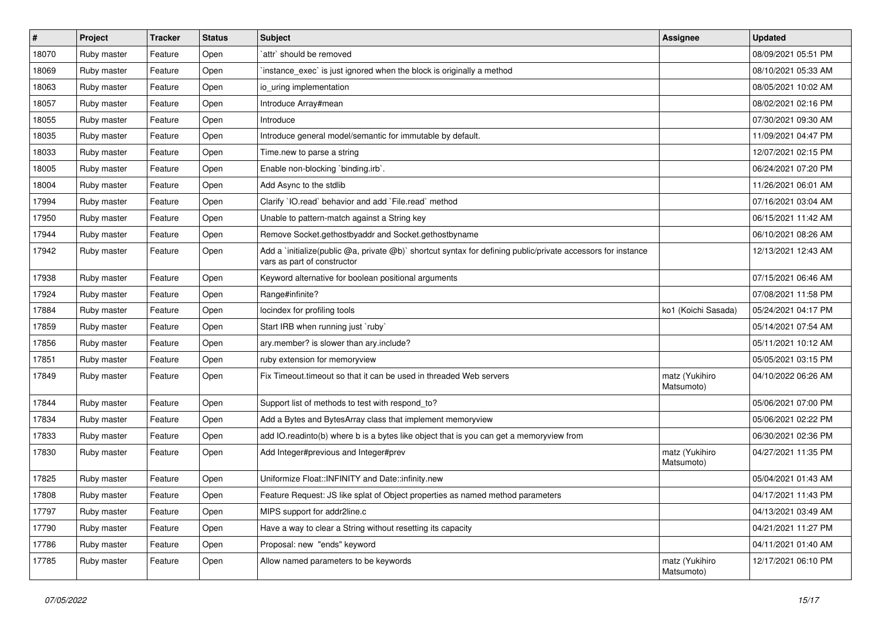| $\pmb{\#}$ | Project     | <b>Tracker</b> | <b>Status</b> | <b>Subject</b>                                                                                                                              | <b>Assignee</b>              | <b>Updated</b>      |
|------------|-------------|----------------|---------------|---------------------------------------------------------------------------------------------------------------------------------------------|------------------------------|---------------------|
| 18070      | Ruby master | Feature        | Open          | `attr` should be removed                                                                                                                    |                              | 08/09/2021 05:51 PM |
| 18069      | Ruby master | Feature        | Open          | instance_exec` is just ignored when the block is originally a method                                                                        |                              | 08/10/2021 05:33 AM |
| 18063      | Ruby master | Feature        | Open          | io uring implementation                                                                                                                     |                              | 08/05/2021 10:02 AM |
| 18057      | Ruby master | Feature        | Open          | Introduce Array#mean                                                                                                                        |                              | 08/02/2021 02:16 PM |
| 18055      | Ruby master | Feature        | Open          | Introduce                                                                                                                                   |                              | 07/30/2021 09:30 AM |
| 18035      | Ruby master | Feature        | Open          | Introduce general model/semantic for immutable by default.                                                                                  |                              | 11/09/2021 04:47 PM |
| 18033      | Ruby master | Feature        | Open          | Time.new to parse a string                                                                                                                  |                              | 12/07/2021 02:15 PM |
| 18005      | Ruby master | Feature        | Open          | Enable non-blocking `binding.irb`.                                                                                                          |                              | 06/24/2021 07:20 PM |
| 18004      | Ruby master | Feature        | Open          | Add Async to the stdlib                                                                                                                     |                              | 11/26/2021 06:01 AM |
| 17994      | Ruby master | Feature        | Open          | Clarify 'IO.read' behavior and add 'File.read' method                                                                                       |                              | 07/16/2021 03:04 AM |
| 17950      | Ruby master | Feature        | Open          | Unable to pattern-match against a String key                                                                                                |                              | 06/15/2021 11:42 AM |
| 17944      | Ruby master | Feature        | Open          | Remove Socket.gethostbyaddr and Socket.gethostbyname                                                                                        |                              | 06/10/2021 08:26 AM |
| 17942      | Ruby master | Feature        | Open          | Add a 'initialize(public @a, private @b)' shortcut syntax for defining public/private accessors for instance<br>vars as part of constructor |                              | 12/13/2021 12:43 AM |
| 17938      | Ruby master | Feature        | Open          | Keyword alternative for boolean positional arguments                                                                                        |                              | 07/15/2021 06:46 AM |
| 17924      | Ruby master | Feature        | Open          | Range#infinite?                                                                                                                             |                              | 07/08/2021 11:58 PM |
| 17884      | Ruby master | Feature        | Open          | locindex for profiling tools                                                                                                                | ko1 (Koichi Sasada)          | 05/24/2021 04:17 PM |
| 17859      | Ruby master | Feature        | Open          | Start IRB when running just `ruby`                                                                                                          |                              | 05/14/2021 07:54 AM |
| 17856      | Ruby master | Feature        | Open          | ary.member? is slower than ary.include?                                                                                                     |                              | 05/11/2021 10:12 AM |
| 17851      | Ruby master | Feature        | Open          | ruby extension for memoryview                                                                                                               |                              | 05/05/2021 03:15 PM |
| 17849      | Ruby master | Feature        | Open          | Fix Timeout.timeout so that it can be used in threaded Web servers                                                                          | matz (Yukihiro<br>Matsumoto) | 04/10/2022 06:26 AM |
| 17844      | Ruby master | Feature        | Open          | Support list of methods to test with respond_to?                                                                                            |                              | 05/06/2021 07:00 PM |
| 17834      | Ruby master | Feature        | Open          | Add a Bytes and BytesArray class that implement memoryview                                                                                  |                              | 05/06/2021 02:22 PM |
| 17833      | Ruby master | Feature        | Open          | add IO.readinto(b) where b is a bytes like object that is you can get a memoryview from                                                     |                              | 06/30/2021 02:36 PM |
| 17830      | Ruby master | Feature        | Open          | Add Integer#previous and Integer#prev                                                                                                       | matz (Yukihiro<br>Matsumoto) | 04/27/2021 11:35 PM |
| 17825      | Ruby master | Feature        | Open          | Uniformize Float::INFINITY and Date::infinity.new                                                                                           |                              | 05/04/2021 01:43 AM |
| 17808      | Ruby master | Feature        | Open          | Feature Request: JS like splat of Object properties as named method parameters                                                              |                              | 04/17/2021 11:43 PM |
| 17797      | Ruby master | Feature        | Open          | MIPS support for addr2line.c                                                                                                                |                              | 04/13/2021 03:49 AM |
| 17790      | Ruby master | Feature        | Open          | Have a way to clear a String without resetting its capacity                                                                                 |                              | 04/21/2021 11:27 PM |
| 17786      | Ruby master | Feature        | Open          | Proposal: new "ends" keyword                                                                                                                |                              | 04/11/2021 01:40 AM |
| 17785      | Ruby master | Feature        | Open          | Allow named parameters to be keywords                                                                                                       | matz (Yukihiro<br>Matsumoto) | 12/17/2021 06:10 PM |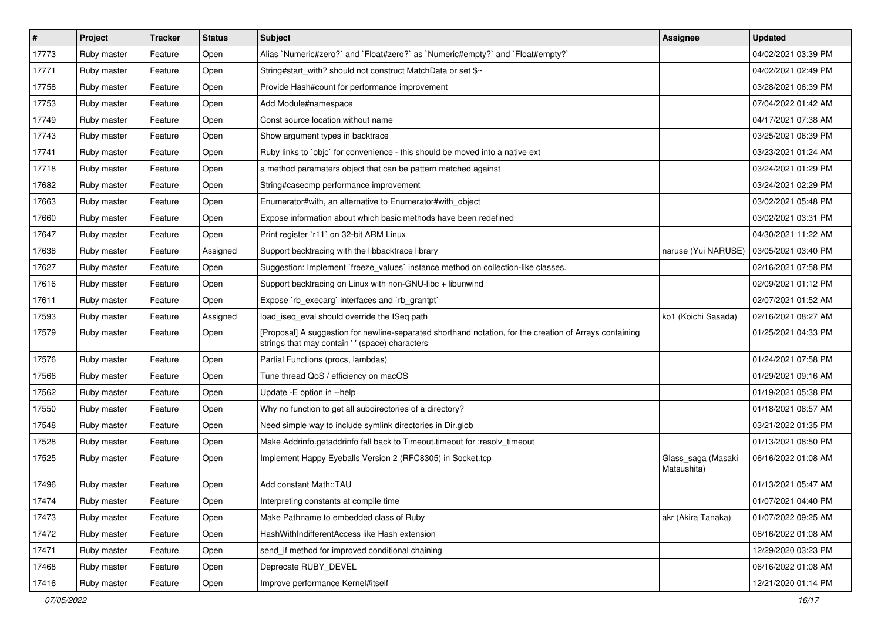| $\pmb{\#}$ | Project     | <b>Tracker</b> | <b>Status</b> | Subject                                                                                                                                                    | <b>Assignee</b>                   | <b>Updated</b>      |
|------------|-------------|----------------|---------------|------------------------------------------------------------------------------------------------------------------------------------------------------------|-----------------------------------|---------------------|
| 17773      | Ruby master | Feature        | Open          | Alias `Numeric#zero?` and `Float#zero?` as `Numeric#empty?` and `Float#empty?`                                                                             |                                   | 04/02/2021 03:39 PM |
| 17771      | Ruby master | Feature        | Open          | String#start_with? should not construct MatchData or set \$~                                                                                               |                                   | 04/02/2021 02:49 PM |
| 17758      | Ruby master | Feature        | Open          | Provide Hash#count for performance improvement                                                                                                             |                                   | 03/28/2021 06:39 PM |
| 17753      | Ruby master | Feature        | Open          | Add Module#namespace                                                                                                                                       |                                   | 07/04/2022 01:42 AM |
| 17749      | Ruby master | Feature        | Open          | Const source location without name                                                                                                                         |                                   | 04/17/2021 07:38 AM |
| 17743      | Ruby master | Feature        | Open          | Show argument types in backtrace                                                                                                                           |                                   | 03/25/2021 06:39 PM |
| 17741      | Ruby master | Feature        | Open          | Ruby links to `objc` for convenience - this should be moved into a native ext                                                                              |                                   | 03/23/2021 01:24 AM |
| 17718      | Ruby master | Feature        | Open          | a method paramaters object that can be pattern matched against                                                                                             |                                   | 03/24/2021 01:29 PM |
| 17682      | Ruby master | Feature        | Open          | String#casecmp performance improvement                                                                                                                     |                                   | 03/24/2021 02:29 PM |
| 17663      | Ruby master | Feature        | Open          | Enumerator#with, an alternative to Enumerator#with_object                                                                                                  |                                   | 03/02/2021 05:48 PM |
| 17660      | Ruby master | Feature        | Open          | Expose information about which basic methods have been redefined                                                                                           |                                   | 03/02/2021 03:31 PM |
| 17647      | Ruby master | Feature        | Open          | Print register `r11` on 32-bit ARM Linux                                                                                                                   |                                   | 04/30/2021 11:22 AM |
| 17638      | Ruby master | Feature        | Assigned      | Support backtracing with the libbacktrace library                                                                                                          | naruse (Yui NARUSE)               | 03/05/2021 03:40 PM |
| 17627      | Ruby master | Feature        | Open          | Suggestion: Implement `freeze_values` instance method on collection-like classes.                                                                          |                                   | 02/16/2021 07:58 PM |
| 17616      | Ruby master | Feature        | Open          | Support backtracing on Linux with non-GNU-libc + libunwind                                                                                                 |                                   | 02/09/2021 01:12 PM |
| 17611      | Ruby master | Feature        | Open          | Expose `rb_execarg` interfaces and `rb_grantpt`                                                                                                            |                                   | 02/07/2021 01:52 AM |
| 17593      | Ruby master | Feature        | Assigned      | load_iseq_eval should override the ISeq path                                                                                                               | ko1 (Koichi Sasada)               | 02/16/2021 08:27 AM |
| 17579      | Ruby master | Feature        | Open          | [Proposal] A suggestion for newline-separated shorthand notation, for the creation of Arrays containing<br>strings that may contain ' ' (space) characters |                                   | 01/25/2021 04:33 PM |
| 17576      | Ruby master | Feature        | Open          | Partial Functions (procs, lambdas)                                                                                                                         |                                   | 01/24/2021 07:58 PM |
| 17566      | Ruby master | Feature        | Open          | Tune thread QoS / efficiency on macOS                                                                                                                      |                                   | 01/29/2021 09:16 AM |
| 17562      | Ruby master | Feature        | Open          | Update -E option in --help                                                                                                                                 |                                   | 01/19/2021 05:38 PM |
| 17550      | Ruby master | Feature        | Open          | Why no function to get all subdirectories of a directory?                                                                                                  |                                   | 01/18/2021 08:57 AM |
| 17548      | Ruby master | Feature        | Open          | Need simple way to include symlink directories in Dir.glob                                                                                                 |                                   | 03/21/2022 01:35 PM |
| 17528      | Ruby master | Feature        | Open          | Make Addrinfo.getaddrinfo fall back to Timeout.timeout for :resolv_timeout                                                                                 |                                   | 01/13/2021 08:50 PM |
| 17525      | Ruby master | Feature        | Open          | Implement Happy Eyeballs Version 2 (RFC8305) in Socket.tcp                                                                                                 | Glass_saga (Masaki<br>Matsushita) | 06/16/2022 01:08 AM |
| 17496      | Ruby master | Feature        | Open          | Add constant Math::TAU                                                                                                                                     |                                   | 01/13/2021 05:47 AM |
| 17474      | Ruby master | Feature        | Open          | Interpreting constants at compile time                                                                                                                     |                                   | 01/07/2021 04:40 PM |
| 17473      | Ruby master | Feature        | Open          | Make Pathname to embedded class of Ruby                                                                                                                    | akr (Akira Tanaka)                | 01/07/2022 09:25 AM |
| 17472      | Ruby master | Feature        | Open          | HashWithIndifferentAccess like Hash extension                                                                                                              |                                   | 06/16/2022 01:08 AM |
| 17471      | Ruby master | Feature        | Open          | send if method for improved conditional chaining                                                                                                           |                                   | 12/29/2020 03:23 PM |
| 17468      | Ruby master | Feature        | Open          | Deprecate RUBY DEVEL                                                                                                                                       |                                   | 06/16/2022 01:08 AM |
| 17416      | Ruby master | Feature        | Open          | Improve performance Kernel#itself                                                                                                                          |                                   | 12/21/2020 01:14 PM |